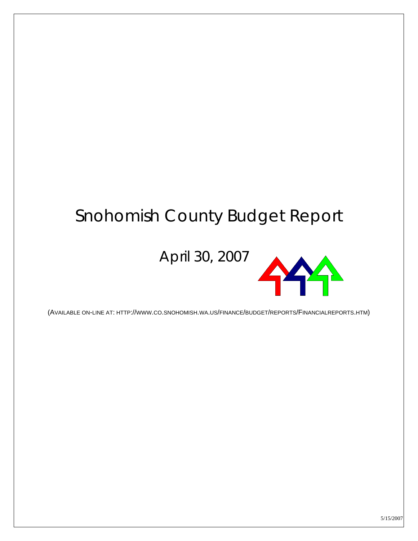# Snohomish County Budget Report

April 30, 2007



(AVAILABLE ON-LINE AT: HTTP://WWW.CO.SNOHOMISH.WA.US/FINANCE/BUDGET/REPORTS/FINANCIALREPORTS.HTM)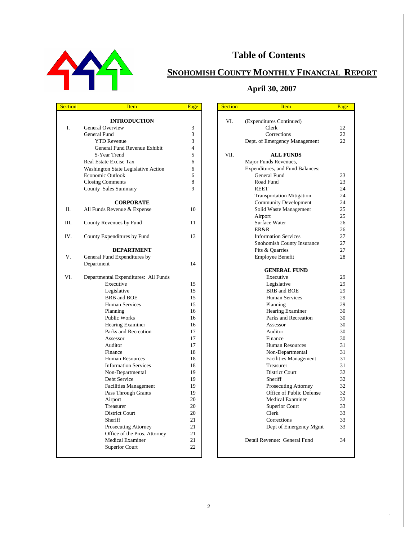

#### **Table of Contents**

### **SNOHOMISH COUNTY MONTHLY FINANCIAL REPORT**

#### **April 30, 2007**

 $\blacksquare$ 

| <b>Section</b> | <b>Item</b>                          | Page     | <b>Section</b> | <b>Item</b>                               | Page |
|----------------|--------------------------------------|----------|----------------|-------------------------------------------|------|
|                |                                      |          |                |                                           |      |
|                | <b>INTRODUCTION</b>                  |          | VI.            | (Expenditures Continued)                  |      |
| I.             | General Overview                     | 3        |                | Clerk                                     | 22   |
|                | General Fund                         | 3        |                | Corrections                               | 22.  |
|                | <b>YTD Revenue</b>                   | 3        |                | Dept. of Emergency Management             | 22   |
|                | General Fund Revenue Exhibit         | 4        |                |                                           |      |
|                | 5-Year Trend                         | 5        | VII.           | <b>ALL FUNDS</b>                          |      |
|                | Real Estate Excise Tax               | 6        |                | Major Funds Revenues,                     |      |
|                | Washington State Legislative Action  | 6        |                | Expenditures, and Fund Balances:          |      |
|                | Economic Outlook                     | 6        |                | <b>General Fund</b>                       | 23   |
|                | <b>Closing Comments</b>              | 8        |                | Road Fund                                 | 23   |
|                | County Sales Summary                 | 9        |                | <b>REET</b>                               | 24   |
|                |                                      |          |                | <b>Transportation Mitigation</b>          | 24   |
|                | <b>CORPORATE</b>                     |          |                | <b>Community Development</b>              | 24   |
| П.             | All Funds Revenue & Expense          | 10       |                | Solid Waste Management                    | 25   |
|                |                                      |          |                | Airport                                   | 25   |
| Ш.             | County Revenues by Fund              | 11       |                | Surface Water                             | 26   |
|                |                                      |          |                | <b>ER&amp;R</b>                           | 26   |
| IV.            | County Expenditures by Fund          | 13       |                | <b>Information Services</b>               | 27   |
|                |                                      |          |                | Snohomish County Insurance                | 27   |
|                | <b>DEPARTMENT</b>                    |          |                | Pits & Quarries                           | 27   |
| V.             | General Fund Expenditures by         |          |                | Employee Benefit                          | 28   |
|                | Department                           | 14       |                |                                           |      |
|                |                                      |          |                | <b>GENERAL FUND</b>                       |      |
| VI.            | Departmental Expenditures: All Funds |          |                | Executive                                 | 29   |
|                | Executive                            | 15       |                | Legislative                               | 29   |
|                | Legislative                          | 15       |                | BRB and BOE                               | 29   |
|                | BRB and BOE                          | 15       |                | <b>Human Services</b>                     | 29   |
|                | Human Services                       | 15       |                | Planning                                  | 29   |
|                | Planning                             | 16       |                | Hearing Examiner                          | 30   |
|                | Public Works                         | 16       |                | Parks and Recreation                      | 30   |
|                | Hearing Examiner                     | 16       |                | Assessor                                  | 30   |
|                | Parks and Recreation                 | 17       |                | Auditor                                   | 30   |
|                | Assessor                             | 17       |                | Finance                                   | 30   |
|                | Auditor                              | 17       |                | <b>Human Resources</b>                    | 31   |
|                | Finance                              | 18       |                | Non-Departmental                          | 31   |
|                | <b>Human Resources</b>               | 18       |                |                                           | 31   |
|                | <b>Information Services</b>          | 18       |                | <b>Facilities Management</b><br>Treasurer | 31   |
|                |                                      |          |                |                                           | 32   |
|                | Non-Departmental<br>Debt Service     | 19<br>19 |                | District Court<br>Sheriff                 | 32   |
|                |                                      |          |                |                                           | 32   |
|                | <b>Facilities Management</b>         | 19       |                | Prosecuting Attorney                      |      |
|                | Pass Through Grants                  | 19       |                | Office of Public Defense                  | 32   |
|                | Airport                              | 20       |                | <b>Medical Examiner</b>                   | 32   |
|                | Treasurer                            | 20       |                | Superior Court                            | 33   |
|                | District Court                       | 20       |                | Clerk                                     | 33   |
|                | Sheriff                              | 21       |                | Corrections                               | 33   |
|                | Prosecuting Attorney                 | 21       |                | Dept of Emergency Mgmt                    | 33   |
|                | Office of the Pros. Attorney         | 21       |                |                                           |      |
|                | <b>Medical Examiner</b>              | 21       |                | Detail Revenue: General Fund              | 34   |
|                | Superior Court                       | 22       |                |                                           |      |
|                |                                      |          |                |                                           |      |

| <u>cuon</u> | <u>item</u>                       | rage |
|-------------|-----------------------------------|------|
| VI.         |                                   |      |
|             | (Expenditures Continued)<br>Clerk | 22   |
|             | Corrections                       | 22   |
|             |                                   | 22   |
|             | Dept. of Emergency Management     |      |
| VII.        | <b>ALL FUNDS</b>                  |      |
|             | Major Funds Revenues,             |      |
|             | Expenditures, and Fund Balances:  |      |
|             | General Fund                      | 23   |
|             | Road Fund                         | 23   |
|             | <b>REET</b>                       | 24   |
|             | <b>Transportation Mitigation</b>  | 24   |
|             | <b>Community Development</b>      | 24   |
|             | Solid Waste Management            | 25   |
|             | Airport                           | 25   |
|             | Surface Water                     | 26   |
|             | ER&R                              | 26   |
|             | <b>Information Services</b>       | 27   |
|             | Snohomish County Insurance        | 27   |
|             | Pits & Quarries                   | 27   |
|             | <b>Employee Benefit</b>           | 28   |
|             | <b>GENERAL FUND</b>               |      |
|             | Executive                         | 29   |
|             | Legislative                       | 29   |
|             | <b>BRB</b> and <b>BOE</b>         | 29   |
|             | <b>Human Services</b>             | 29   |
|             | Planning                          | 29   |
|             | <b>Hearing Examiner</b>           | 30   |
|             | Parks and Recreation              | 30   |
|             | Assessor                          | 30   |
|             | Auditor                           | 30   |
|             | Finance                           | 30   |
|             | <b>Human Resources</b>            | 31   |
|             | Non-Departmental                  | 31   |
|             | <b>Facilities Management</b>      | 31   |
|             | Treasurer                         | 31   |
|             | <b>District Court</b>             | 32   |
|             | Sheriff                           | 32   |
|             | Prosecuting Attorney              | 32   |
|             | Office of Public Defense          | 32   |
|             | <b>Medical Examiner</b>           | 32   |
|             | <b>Superior Court</b>             | 33   |
|             | Clerk                             | 33   |
|             | Corrections                       | 33   |
|             | Dept of Emergency Mgmt            | 33   |
|             |                                   |      |
|             | Detail Revenue: General Fund      | 34   |
|             |                                   |      |

.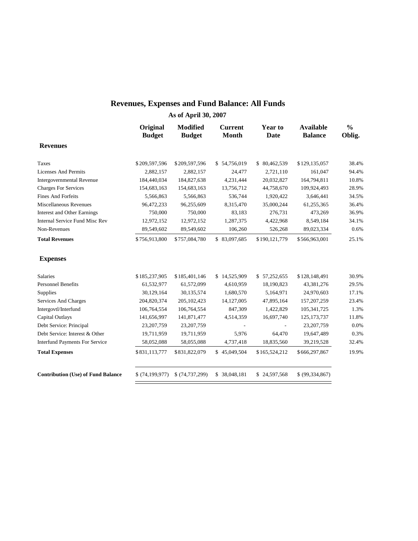#### **Revenues, Expenses and Fund Balance: All Funds**

|                                           | Original<br><b>Budget</b> | <b>Modified</b><br><b>Budget</b> | <b>Current</b><br><b>Month</b> | Year to<br><b>Date</b> | <b>Available</b><br><b>Balance</b> | $\frac{0}{0}$<br>Oblig. |
|-------------------------------------------|---------------------------|----------------------------------|--------------------------------|------------------------|------------------------------------|-------------------------|
| <b>Revenues</b>                           |                           |                                  |                                |                        |                                    |                         |
| <b>Taxes</b>                              | \$209,597,596             | \$209,597,596                    | \$54,756,019                   | \$80,462,539           | \$129,135,057                      | 38.4%                   |
| <b>Licenses And Permits</b>               | 2,882,157                 | 2,882,157                        | 24,477                         | 2,721,110              | 161,047                            | 94.4%                   |
| <b>Intergovernmental Revenue</b>          | 184,440,034               | 184,827,638                      | 4,231,444                      | 20,032,827             | 164,794,811                        | 10.8%                   |
| <b>Charges For Services</b>               | 154,683,163               | 154,683,163                      | 13,756,712                     | 44,758,670             | 109,924,493                        | 28.9%                   |
| <b>Fines And Forfeits</b>                 | 5,566,863                 | 5,566,863                        | 536,744                        | 1,920,422              | 3,646,441                          | 34.5%                   |
| Miscellaneous Revenues                    | 96,472,233                | 96,255,609                       | 8,315,470                      | 35,000,244             | 61,255,365                         | 36.4%                   |
| <b>Interest and Other Earnings</b>        | 750,000                   | 750,000                          | 83,183                         | 276,731                | 473,269                            | 36.9%                   |
| Internal Service Fund Misc Rev            | 12,972,152                | 12,972,152                       | 1,287,375                      | 4,422,968              | 8,549,184                          | 34.1%                   |
| Non-Revenues                              | 89,549,602                | 89,549,602                       | 106,260                        | 526,268                | 89,023,334                         | 0.6%                    |
| <b>Total Revenues</b>                     | \$756,913,800             | \$757,084,780                    | \$83,097,685                   | \$190,121,779          | \$566,963,001                      | 25.1%                   |
| <b>Expenses</b>                           |                           |                                  |                                |                        |                                    |                         |
| Salaries                                  | \$185,237,905             | \$185,401,146                    | \$14,525,909                   | \$57,252,655           | \$128,148,491                      | 30.9%                   |
| <b>Personnel Benefits</b>                 | 61,532,977                | 61,572,099                       | 4,610,959                      | 18,190,823             | 43,381,276                         | 29.5%                   |
| Supplies                                  | 30,129,164                | 30,135,574                       | 1,680,570                      | 5,164,971              | 24,970,603                         | 17.1%                   |
| Services And Charges                      | 204,820,374               | 205, 102, 423                    | 14,127,005                     | 47,895,164             | 157, 207, 259                      | 23.4%                   |
| Intergovtl/Interfund                      | 106,764,554               | 106,764,554                      | 847,309                        | 1,422,829              | 105,341,725                        | 1.3%                    |
| Capital Outlays                           | 141,656,997               | 141,871,477                      | 4,514,359                      | 16,697,740             | 125, 173, 737                      | 11.8%                   |
| Debt Service: Principal                   | 23,207,759                | 23, 207, 759                     |                                |                        | 23,207,759                         | 0.0%                    |
| Debt Service: Interest & Other            | 19,711,959                | 19,711,959                       | 5,976                          | 64,470                 | 19,647,489                         | 0.3%                    |
| <b>Interfund Payments For Service</b>     | 58,052,088                | 58,055,088                       | 4,737,418                      | 18,835,560             | 39,219,528                         | 32.4%                   |
| <b>Total Expenses</b>                     | \$831,113,777             | \$831,822,079                    | \$45,049,504                   | \$165,524,212          | \$666,297,867                      | 19.9%                   |
| <b>Contribution (Use) of Fund Balance</b> | \$(74,199,977)            | \$(74, 737, 299)                 | \$ 38,048,181                  | \$24,597,568           | \$ (99, 334, 867)                  |                         |
|                                           |                           |                                  |                                |                        |                                    |                         |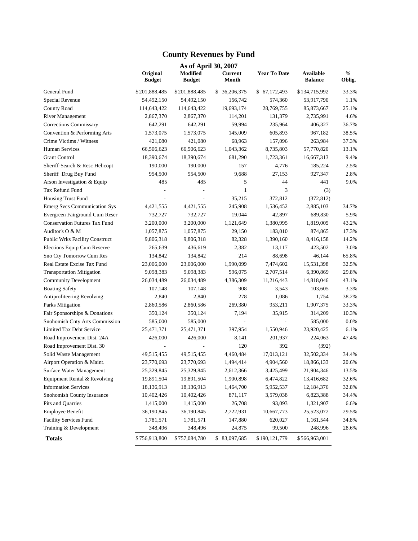### **County Revenues by Fund**

|                                       | As of April 30, 2007      |                           |                         |                     |                             |                |  |  |  |  |  |  |
|---------------------------------------|---------------------------|---------------------------|-------------------------|---------------------|-----------------------------|----------------|--|--|--|--|--|--|
|                                       | Original<br><b>Budget</b> | Modified<br><b>Budget</b> | <b>Current</b><br>Month | <b>Year To Date</b> | Available<br><b>Balance</b> | $\%$<br>Oblig. |  |  |  |  |  |  |
| General Fund                          | \$201,888,485             | \$201,888,485             | \$ 36,206,375           | \$67,172,493        | \$134,715,992               | 33.3%          |  |  |  |  |  |  |
| Special Revenue                       | 54,492,150                | 54,492,150                | 156,742                 | 574,360             | 53,917,790                  | 1.1%           |  |  |  |  |  |  |
| <b>County Road</b>                    | 114,643,422               | 114,643,422               | 19,693,174              | 28,769,755          | 85,873,667                  | 25.1%          |  |  |  |  |  |  |
| <b>River Management</b>               | 2,867,370                 | 2,867,370                 | 114,201                 | 131,379             | 2,735,991                   | 4.6%           |  |  |  |  |  |  |
| Corrections Commissary                | 642,291                   | 642,291                   | 59,994                  | 235,964             | 406,327                     | 36.7%          |  |  |  |  |  |  |
| Convention & Performing Arts          | 1,573,075                 | 1,573,075                 | 145,009                 | 605,893             | 967,182                     | 38.5%          |  |  |  |  |  |  |
| Crime Victims / Witness               | 421,080                   | 421,080                   | 68,963                  | 157,096             | 263,984                     | 37.3%          |  |  |  |  |  |  |
| Human Services                        | 66,506,623                | 66,506,623                | 1,043,362               | 8,735,803           | 57,770,820                  | 13.1%          |  |  |  |  |  |  |
| <b>Grant Control</b>                  | 18,390,674                | 18,390,674                | 681,290                 | 1,723,361           | 16,667,313                  | 9.4%           |  |  |  |  |  |  |
| Sheriff-Search & Resc Helicopt        | 190,000                   | 190,000                   | 157                     | 4,776               | 185,224                     | 2.5%           |  |  |  |  |  |  |
| Sheriff Drug Buy Fund                 | 954,500                   | 954,500                   | 9,688                   | 27,153              | 927,347                     | 2.8%           |  |  |  |  |  |  |
| Arson Investigation & Equip           | 485                       | 485                       | 5                       | 44                  | 441                         | 9.0%           |  |  |  |  |  |  |
| Tax Refund Fund                       |                           |                           | $\mathbf{1}$            | 3                   | (3)                         |                |  |  |  |  |  |  |
| Housing Trust Fund                    |                           |                           | 35,215                  | 372,812             | (372, 812)                  |                |  |  |  |  |  |  |
| <b>Emerg Svcs Communication Sys</b>   | 4,421,555                 | 4,421,555                 | 245,908                 | 1,536,452           | 2,885,103                   | 34.7%          |  |  |  |  |  |  |
| Evergreen Fairground Cum Reser        | 732,727                   | 732,727                   | 19,044                  | 42,897              | 689,830                     | 5.9%           |  |  |  |  |  |  |
| <b>Conservation Futures Tax Fund</b>  | 3,200,000                 | 3,200,000                 | 1,121,649               | 1,380,995           | 1,819,005                   | 43.2%          |  |  |  |  |  |  |
| Auditor's O & M                       | 1,057,875                 | 1,057,875                 | 29,150                  | 183,010             | 874,865                     | 17.3%          |  |  |  |  |  |  |
| <b>Public Wrks Facility Construct</b> | 9,806,318                 | 9,806,318                 | 82,328                  | 1,390,160           | 8,416,158                   | 14.2%          |  |  |  |  |  |  |
| Elections Equip Cum Reserve           | 265,639                   | 436,619                   | 2,382                   | 13,117              | 423,502                     | 3.0%           |  |  |  |  |  |  |
| Sno Cty Tomorrow Cum Res              | 134,842                   | 134,842                   | 214                     | 88,698              | 46,144                      | 65.8%          |  |  |  |  |  |  |
| Real Estate Excise Tax Fund           | 23,006,000                | 23,006,000                | 1,990,099               | 7,474,602           | 15,531,398                  | 32.5%          |  |  |  |  |  |  |
| <b>Transportation Mitigation</b>      | 9,098,383                 | 9,098,383                 | 596,075                 | 2,707,514           | 6,390,869                   | 29.8%          |  |  |  |  |  |  |
| <b>Community Development</b>          | 26,034,489                | 26,034,489                | 4,386,309               | 11,216,443          | 14,818,046                  | 43.1%          |  |  |  |  |  |  |
| <b>Boating Safety</b>                 | 107,148                   | 107,148                   | 908                     | 3,543               | 103,605                     | 3.3%           |  |  |  |  |  |  |
| Antiprofiteering Revolving            | 2,840                     | 2,840                     | 278                     | 1,086               | 1,754                       | 38.2%          |  |  |  |  |  |  |
| Parks Mitigation                      | 2,860,586                 | 2,860,586                 | 269,380                 | 953,211             | 1,907,375                   | 33.3%          |  |  |  |  |  |  |
| Fair Sponsorships & Donations         | 350,124                   | 350,124                   | 7,194                   | 35,915              | 314,209                     | 10.3%          |  |  |  |  |  |  |
| Snohomish Cnty Arts Commission        | 585,000                   | 585,000                   |                         |                     | 585,000                     | 0.0%           |  |  |  |  |  |  |
| Limited Tax Debt Service              | 25,471,371                | 25,471,371                | 397,954                 | 1,550,946           | 23,920,425                  | 6.1%           |  |  |  |  |  |  |
| Road Improvement Dist. 24A            | 426,000                   | 426,000                   | 8,141                   | 201,937             | 224,063                     | 47.4%          |  |  |  |  |  |  |
| Road Improvement Dist. 30             |                           |                           | 120                     | 392                 | (392)                       |                |  |  |  |  |  |  |
| Solid Waste Management                | 49,515,455                | 49,515,455                | 4,460,484               | 17,013,121          | 32,502,334                  | 34.4%          |  |  |  |  |  |  |
| Airport Operation & Maint.            | 23,770,693                | 23,770,693                | 1,494,414               | 4,904,560           | 18,866,133                  | 20.6%          |  |  |  |  |  |  |
| Surface Water Management              | 25,329,845                | 25,329,845                | 2,612,366               | 3,425,499           | 21,904,346                  | 13.5%          |  |  |  |  |  |  |
| Equipment Rental & Revolving          | 19,891,504                | 19,891,504                | 1,900,898               | 6,474,822           | 13,416,682                  | 32.6%          |  |  |  |  |  |  |
| <b>Information Services</b>           | 18,136,913                | 18,136,913                | 1,464,700               | 5,952,537           | 12,184,376                  | 32.8%          |  |  |  |  |  |  |
| Snohomish County Insurance            | 10,402,426                | 10,402,426                | 871,117                 | 3,579,038           | 6,823,388                   | 34.4%          |  |  |  |  |  |  |
| Pits and Quarries                     | 1,415,000                 | 1,415,000                 | 26,708                  | 93,093              | 1,321,907                   | 6.6%           |  |  |  |  |  |  |
| Employee Benefit                      | 36,190,845                | 36,190,845                | 2,722,931               | 10,667,773          | 25,523,072                  | 29.5%          |  |  |  |  |  |  |
| Facility Services Fund                | 1,781,571                 | 1,781,571                 | 147,880                 | 620,027             | 1,161,544                   | 34.8%          |  |  |  |  |  |  |
| Training & Development                | 348,496                   | 348,496                   | 24,875                  | 99,500              | 248,996                     | 28.6%          |  |  |  |  |  |  |
| <b>Totals</b>                         | \$756,913,800             | \$757,084,780             | \$83,097,685            | \$190,121,779       | \$566,963,001               |                |  |  |  |  |  |  |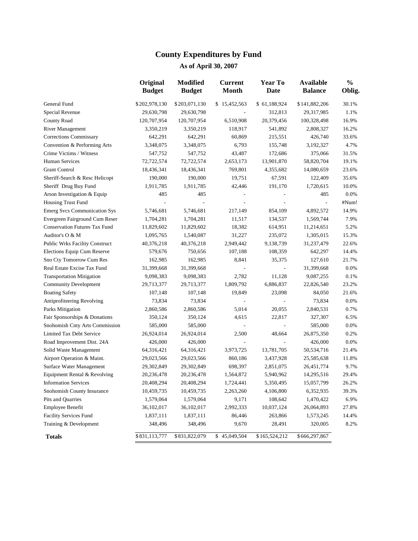# **County Expenditures by Fund**

|                                       | Original<br><b>Budget</b> | <b>Modified</b><br><b>Budget</b> | <b>Current</b><br><b>Month</b> | <b>Year To</b><br>Date   | <b>Available</b><br><b>Balance</b> | $\frac{0}{0}$<br>Oblig. |
|---------------------------------------|---------------------------|----------------------------------|--------------------------------|--------------------------|------------------------------------|-------------------------|
| General Fund                          | \$202,978,130             | \$203,071,130                    | \$15,452,563                   | \$61,188,924             | \$141,882,206                      | 30.1%                   |
| Special Revenue                       | 29,630,798                | 29,630,798                       |                                | 312,813                  | 29,317,985                         | 1.1%                    |
| County Road                           | 120,707,954               | 120,707,954                      | 6,510,908                      | 20,379,456               | 100,328,498                        | 16.9%                   |
| <b>River Management</b>               | 3,350,219                 | 3,350,219                        | 118,917                        | 541,892                  | 2,808,327                          | 16.2%                   |
| Corrections Commissary                | 642,291                   | 642,291                          | 60,869                         | 215,551                  | 426,740                            | 33.6%                   |
| Convention & Performing Arts          | 3,348,075                 | 3,348,075                        | 6,793                          | 155,748                  | 3,192,327                          | 4.7%                    |
| Crime Victims / Witness               | 547,752                   | 547,752                          | 43,487                         | 172,686                  | 375,066                            | 31.5%                   |
| <b>Human Services</b>                 | 72,722,574                | 72,722,574                       | 2,653,173                      | 13,901,870               | 58,820,704                         | 19.1%                   |
| <b>Grant Control</b>                  | 18,436,341                | 18,436,341                       | 769,801                        | 4,355,682                | 14,080,659                         | 23.6%                   |
| Sheriff-Search & Resc Helicopt        | 190,000                   | 190,000                          | 19,751                         | 67,591                   | 122,409                            | 35.6%                   |
| Sheriff Drug Buy Fund                 | 1,911,785                 | 1,911,785                        | 42,446                         | 191,170                  | 1,720,615                          | 10.0%                   |
| Arson Investigation & Equip           | 485                       | 485                              |                                | $\overline{\phantom{0}}$ | 485                                | 0.0%                    |
| Housing Trust Fund                    |                           |                                  |                                | $\overline{a}$           | $\overline{\phantom{a}}$           | #Num!                   |
| <b>Emerg Svcs Communication Sys</b>   | 5,746,681                 | 5,746,681                        | 217,149                        | 854,109                  | 4,892,572                          | 14.9%                   |
| Evergreen Fairground Cum Reser        | 1,704,281                 | 1,704,281                        | 11,517                         | 134,537                  | 1,569,744                          | 7.9%                    |
| <b>Conservation Futures Tax Fund</b>  | 11,829,602                | 11,829,602                       | 18,382                         | 614,951                  | 11,214,651                         | 5.2%                    |
| Auditor's O & M                       | 1,095,765                 | 1,540,087                        | 31,227                         | 235,072                  | 1,305,015                          | 15.3%                   |
| <b>Public Wrks Facility Construct</b> | 40,376,218                | 40,376,218                       | 2,949,442                      | 9,138,739                | 31,237,479                         | 22.6%                   |
| Elections Equip Cum Reserve           | 579,676                   | 750,656                          | 107,188                        | 108,359                  | 642,297                            | 14.4%                   |
| Sno Cty Tomorrow Cum Res              | 162,985                   | 162,985                          | 8,841                          | 35,375                   | 127,610                            | 21.7%                   |
| Real Estate Excise Tax Fund           | 31,399,668                | 31,399,668                       |                                | $\blacksquare$           | 31,399,668                         | 0.0%                    |
| <b>Transportation Mitigation</b>      | 9,098,383                 | 9,098,383                        | 2,782                          | 11,128                   | 9,087,255                          | 0.1%                    |
| <b>Community Development</b>          | 29,713,377                | 29,713,377                       | 1,809,792                      | 6,886,837                | 22,826,540                         | 23.2%                   |
| <b>Boating Safety</b>                 | 107,148                   | 107,148                          | 19,849                         | 23,098                   | 84,050                             | 21.6%                   |
| Antiprofiteering Revolving            | 73,834                    | 73,834                           |                                | $\frac{1}{2}$            | 73,834                             | 0.0%                    |
| Parks Mitigation                      | 2,860,586                 | 2,860,586                        | 5,014                          | 20,055                   | 2,840,531                          | 0.7%                    |
| Fair Sponsorships & Donations         | 350,124                   | 350,124                          | 4,615                          | 22,817                   | 327,307                            | 6.5%                    |
| Snohomish Cnty Arts Commission        | 585,000                   | 585,000                          |                                | ÷,                       | 585,000                            | 0.0%                    |
| Limited Tax Debt Service              | 26,924,014                | 26,924,014                       | 2,500                          | 48,664                   | 26,875,350                         | 0.2%                    |
| Road Improvement Dist. 24A            | 426,000                   | 426,000                          |                                |                          | 426,000                            | 0.0%                    |
| Solid Waste Management                | 64,316,421                | 64,316,421                       | 3,973,725                      | 13,781,705               | 50,534,716                         | 21.4%                   |
| Airport Operation & Maint.            | 29,023,566                | 29,023,566                       | 860,186                        | 3,437,928                | 25,585,638                         | 11.8%                   |
| Surface Water Management              | 29,302,849                | 29,302,849                       | 698,397                        | 2,851,075                | 26,451,774                         | 9.7%                    |
| Equipment Rental & Revolving          | 20,236,478                | 20,236,478                       | 1,564,872                      | 5,940,962                | 14,295,516                         | 29.4%                   |
| <b>Information Services</b>           | 20,408,294                | 20,408,294                       | 1,724,441                      | 5,350,495                | 15,057,799                         | 26.2%                   |
| Snohomish County Insurance            | 10,459,735                | 10,459,735                       | 2,263,260                      | 4,106,800                | 6,352,935                          | 39.3%                   |
| Pits and Quarries                     | 1,579,064                 | 1,579,064                        | 9,171                          | 108,642                  | 1,470,422                          | 6.9%                    |
| <b>Employee Benefit</b>               | 36,102,017                | 36,102,017                       | 2,992,333                      | 10,037,124               | 26,064,893                         | 27.8%                   |
| <b>Facility Services Fund</b>         | 1,837,111                 | 1,837,111                        | 86,446                         | 263,866                  | 1,573,245                          | 14.4%                   |
| Training & Development                | 348,496                   | 348,496                          | 9,670                          | 28,491                   | 320,005                            | 8.2%                    |
| <b>Totals</b>                         | \$831,113,777             | \$831,822,079                    | \$45,049,504                   | \$165,524,212            | \$666,297,867                      |                         |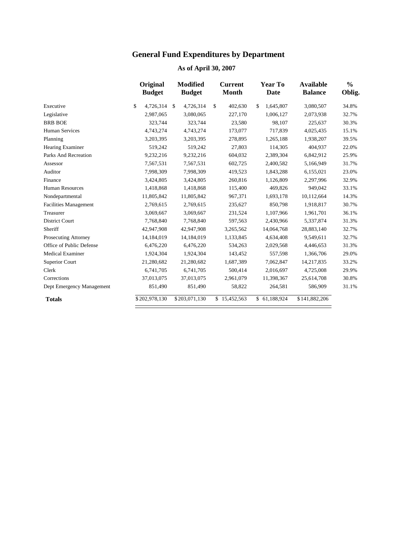# **General Fund Expenditures by Department**

|                              | Original<br><b>Budget</b> | <b>Modified</b><br><b>Budget</b> | <b>Current</b><br><b>Month</b> | Year To<br><b>Date</b> | <b>Available</b><br><b>Balance</b> | $\frac{0}{0}$<br>Oblig. |
|------------------------------|---------------------------|----------------------------------|--------------------------------|------------------------|------------------------------------|-------------------------|
| Executive                    | \$<br>4,726,314           | 4,726,314<br>$\mathbb{S}$        | \$<br>402,630                  | \$<br>1,645,807        | 3,080,507                          | 34.8%                   |
| Legislative                  | 2,987,065                 | 3,080,065                        | 227,170                        | 1,006,127              | 2,073,938                          | 32.7%                   |
| <b>BRB BOE</b>               | 323,744                   | 323,744                          | 23,580                         | 98,107                 | 225,637                            | 30.3%                   |
| <b>Human Services</b>        | 4,743,274                 | 4,743,274                        | 173,077                        | 717,839                | 4,025,435                          | 15.1%                   |
| Planning                     | 3,203,395                 | 3,203,395                        | 278,895                        | 1,265,188              | 1,938,207                          | 39.5%                   |
| Hearing Examiner             | 519,242                   | 519,242                          | 27,803                         | 114,305                | 404,937                            | 22.0%                   |
| Parks And Recreation         | 9,232,216                 | 9,232,216                        | 604,032                        | 2,389,304              | 6,842,912                          | 25.9%                   |
| Assessor                     | 7,567,531                 | 7,567,531                        | 602,725                        | 2,400,582              | 5,166,949                          | 31.7%                   |
| Auditor                      | 7,998,309                 | 7,998,309                        | 419,523                        | 1,843,288              | 6,155,021                          | 23.0%                   |
| Finance                      | 3,424,805                 | 3,424,805                        | 260,816                        | 1,126,809              | 2,297,996                          | 32.9%                   |
| <b>Human Resources</b>       | 1,418,868                 | 1,418,868                        | 115,400                        | 469,826                | 949,042                            | 33.1%                   |
| Nondepartmental              | 11,805,842                | 11,805,842                       | 967,371                        | 1,693,178              | 10,112,664                         | 14.3%                   |
| <b>Facilities Management</b> | 2,769,615                 | 2,769,615                        | 235,627                        | 850,798                | 1,918,817                          | 30.7%                   |
| Treasurer                    | 3,069,667                 | 3,069,667                        | 231,524                        | 1,107,966              | 1,961,701                          | 36.1%                   |
| <b>District Court</b>        | 7,768,840                 | 7,768,840                        | 597,563                        | 2,430,966              | 5,337,874                          | 31.3%                   |
| Sheriff                      | 42,947,908                | 42,947,908                       | 3,265,562                      | 14,064,768             | 28,883,140                         | 32.7%                   |
| Prosecuting Attorney         | 14,184,019                | 14,184,019                       | 1,133,845                      | 4,634,408              | 9,549,611                          | 32.7%                   |
| Office of Public Defense     | 6,476,220                 | 6,476,220                        | 534,263                        | 2,029,568              | 4,446,653                          | 31.3%                   |
| <b>Medical Examiner</b>      | 1,924,304                 | 1,924,304                        | 143,452                        | 557,598                | 1,366,706                          | 29.0%                   |
| Superior Court               | 21,280,682                | 21,280,682                       | 1,687,389                      | 7,062,847              | 14,217,835                         | 33.2%                   |
| Clerk                        | 6,741,705                 | 6,741,705                        | 500,414                        | 2,016,697              | 4,725,008                          | 29.9%                   |
| Corrections                  | 37,013,075                | 37,013,075                       | 2,961,079                      | 11,398,367             | 25,614,708                         | 30.8%                   |
| Dept Emergency Management    | 851,490                   | 851,490                          | 58,822                         | 264,581                | 586,909                            | 31.1%                   |
| <b>Totals</b>                | \$202,978,130             | \$203,071,130                    | \$15,452,563                   | \$61,188,924           | \$141,882,206                      |                         |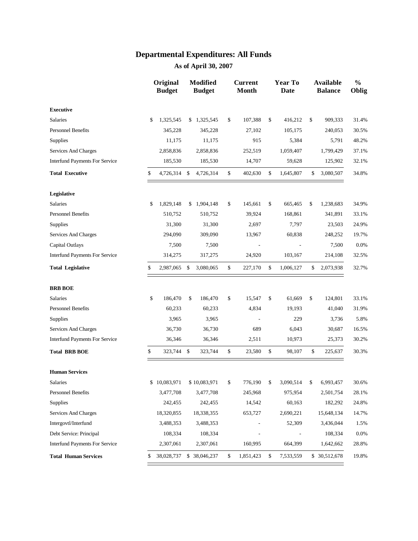|                                       | Original<br><b>Budget</b> | Modified<br><b>Budget</b> | <b>Current</b><br><b>Month</b> | Year To<br><b>Date</b> | <b>Available</b><br><b>Balance</b> | $\frac{0}{0}$<br>Oblig |
|---------------------------------------|---------------------------|---------------------------|--------------------------------|------------------------|------------------------------------|------------------------|
| <b>Executive</b>                      |                           |                           |                                |                        |                                    |                        |
| Salaries                              | \$<br>1,325,545           | \$1,325,545               | \$<br>107,388                  | \$<br>416,212          | \$<br>909,333                      | 31.4%                  |
| <b>Personnel Benefits</b>             | 345,228                   | 345,228                   | 27,102                         | 105,175                | 240,053                            | 30.5%                  |
| <b>Supplies</b>                       | 11,175                    | 11,175                    | 915                            | 5,384                  | 5,791                              | 48.2%                  |
| Services And Charges                  | 2,858,836                 | 2,858,836                 | 252,519                        | 1,059,407              | 1,799,429                          | 37.1%                  |
| <b>Interfund Payments For Service</b> | 185,530                   | 185,530                   | 14,707                         | 59,628                 | 125,902                            | 32.1%                  |
| <b>Total Executive</b>                | \$<br>4,726,314           | \$<br>4,726,314           | \$<br>402,630                  | \$<br>1,645,807        | \$<br>3,080,507                    | 34.8%                  |
| Legislative                           |                           |                           |                                |                        |                                    |                        |
| <b>Salaries</b>                       | \$<br>1,829,148           | \$<br>1,904,148           | \$<br>145,661                  | \$<br>665,465          | \$<br>1,238,683                    | 34.9%                  |
| <b>Personnel Benefits</b>             | 510,752                   | 510,752                   | 39,924                         | 168,861                | 341,891                            | 33.1%                  |
| Supplies                              | 31,300                    | 31,300                    | 2,697                          | 7,797                  | 23,503                             | 24.9%                  |
| Services And Charges                  | 294,090                   | 309,090                   | 13,967                         | 60,838                 | 248,252                            | 19.7%                  |
| Capital Outlays                       | 7,500                     | 7,500                     |                                |                        | 7,500                              | 0.0%                   |
| <b>Interfund Payments For Service</b> | 314,275                   | 317,275                   | 24,920                         | 103,167                | 214,108                            | 32.5%                  |
| <b>Total Legislative</b>              | \$<br>2,987,065           | \$<br>3,080,065           | \$<br>227,170                  | \$<br>1,006,127        | \$<br>2,073,938                    | 32.7%                  |
| <b>BRB BOE</b>                        |                           |                           |                                |                        |                                    |                        |
| <b>Salaries</b>                       | \$<br>186,470             | \$<br>186,470             | \$<br>15,547                   | \$<br>61,669           | \$<br>124,801                      | 33.1%                  |
| <b>Personnel Benefits</b>             | 60,233                    | 60,233                    | 4,834                          | 19,193                 | 41,040                             | 31.9%                  |
| <b>Supplies</b>                       | 3,965                     | 3,965                     |                                | 229                    | 3,736                              | 5.8%                   |
| Services And Charges                  | 36,730                    | 36,730                    | 689                            | 6,043                  | 30,687                             | 16.5%                  |
| <b>Interfund Payments For Service</b> | 36,346                    | 36,346                    | 2,511                          | 10,973                 | 25,373                             | 30.2%                  |
| <b>Total BRB BOE</b>                  | \$<br>323,744             | \$<br>323,744             | \$<br>23,580                   | \$<br>98,107           | \$<br>225,637                      | 30.3%                  |
| <b>Human Services</b>                 |                           |                           |                                |                        |                                    |                        |
| <b>Salaries</b>                       | \$<br>10,083,971          | \$10,083,971              | \$<br>776,190                  | \$<br>3,090,514        | \$<br>6,993,457                    | 30.6%                  |
| <b>Personnel Benefits</b>             | 3,477,708                 | 3,477,708                 | 245,968                        | 975,954                | 2,501,754                          | 28.1%                  |
| <b>Supplies</b>                       | 242,455                   | 242,455                   | 14,542                         | 60,163                 | 182,292                            | 24.8%                  |
| Services And Charges                  | 18,320,855                | 18,338,355                | 653,727                        | 2,690,221              | 15,648,134                         | 14.7%                  |
| Intergovtl/Interfund                  | 3,488,353                 | 3,488,353                 |                                | 52,309                 | 3,436,044                          | 1.5%                   |
| Debt Service: Principal               | 108,334                   | 108,334                   |                                |                        | 108,334                            | 0.0%                   |
| <b>Interfund Payments For Service</b> | 2,307,061                 | 2,307,061                 | 160,995                        | 664,399                | 1,642,662                          | 28.8%                  |
| <b>Total Human Services</b>           | \$<br>38,028,737          | \$ 38,046,237             | \$<br>1,851,423                | \$<br>7,533,559        | \$ 30,512,678                      | 19.8%                  |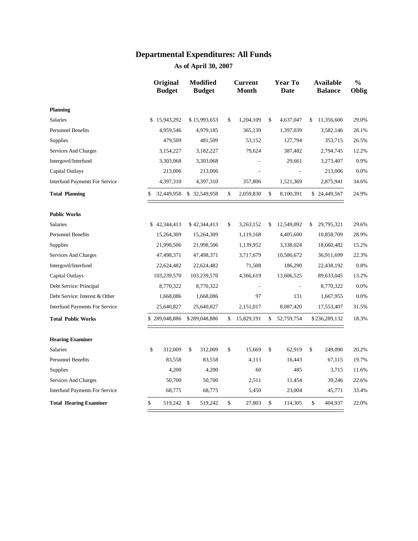|                                       | Original<br><b>Budget</b> |             | <b>Modified</b><br><b>Budget</b> |    | <b>Current</b><br><b>Month</b> |    | <b>Year To</b><br><b>Date</b> |            | <b>Available</b><br><b>Balance</b> | $\frac{0}{0}$<br>Oblig |
|---------------------------------------|---------------------------|-------------|----------------------------------|----|--------------------------------|----|-------------------------------|------------|------------------------------------|------------------------|
| <b>Planning</b>                       |                           |             |                                  |    |                                |    |                               |            |                                    |                        |
| <b>Salaries</b>                       | \$15,943,292              |             | \$15,993,653                     | \$ | 1,204,109                      | \$ | 4,637,047                     | \$         | 11,356,606                         | 29.0%                  |
| <b>Personnel Benefits</b>             | 4,959,546                 |             | 4,979,185                        |    | 365,139                        |    | 1,397,039                     |            | 3,582,146                          | 28.1%                  |
| <b>Supplies</b>                       | 479,509                   |             | 481,509                          |    | 53,152                         |    | 127,794                       |            | 353,715                            | 26.5%                  |
| Services And Charges                  | 3,154,227                 |             | 3,182,227                        |    | 79,624                         |    | 387,482                       |            | 2,794,745                          | 12.2%                  |
| Intergovtl/Interfund                  | 3,303,068                 |             | 3,303,068                        |    |                                |    | 29,661                        |            | 3,273,407                          | 0.9%                   |
| Capital Outlays                       | 213,006                   |             | 213,006                          |    |                                |    |                               |            | 213,006                            | 0.0%                   |
| <b>Interfund Payments For Service</b> | 4,397,310                 |             | 4,397,310                        |    | 357,806                        |    | 1,521,369                     |            | 2,875,941                          | 34.6%                  |
| <b>Total Planning</b>                 | \$<br>32,449,958          |             | \$32,549,958                     | \$ | 2,059,830                      |    | 8,100,391                     |            | \$24,449,567                       | 24.9%                  |
| <b>Public Works</b>                   |                           |             |                                  |    |                                |    |                               |            |                                    |                        |
| <b>Salaries</b>                       | \$42,344,413              |             | \$42,344,413                     | \$ | 3,263,152                      | \$ | 12,549,092                    | \$         | 29,795,321                         | 29.6%                  |
| <b>Personnel Benefits</b>             | 15,264,309                |             | 15,264,309                       |    | 1,119,168                      |    | 4,405,600                     |            | 10,858,709                         | 28.9%                  |
| Supplies                              | 21,998,506                |             | 21,998,506                       |    | 1,139,952                      |    | 3,338,024                     |            | 18,660,482                         | 15.2%                  |
| <b>Services And Charges</b>           | 47,498,371                | 47,498,371  |                                  |    | 3,717,679                      |    | 10,586,672                    |            | 36,911,699                         | 22.3%                  |
| Intergovtl/Interfund                  | 22,624,482                | 22,624,482  |                                  |    | 71,508                         |    | 186,290                       |            | 22,438,192                         | 0.8%                   |
| Capital Outlays                       | 103,239,570               | 103,239,570 |                                  |    | 4,366,619                      |    | 13,606,525                    | 89,633,045 |                                    | 13.2%                  |
| Debt Service: Principal               | 8,770,322                 | 8,770,322   |                                  |    | $\overline{\phantom{a}}$       |    |                               |            | 8,770,322                          | 0.0%                   |
| Debt Service: Interest & Other        | 1,668,086                 |             | 1,668,086                        |    | 97                             |    | 131                           |            | 1,667,955                          | 0.0%                   |
| <b>Interfund Payments For Service</b> | 25,640,827                |             | 25,640,827                       |    | 2,151,017                      |    | 8,087,420                     |            | 17,553,407                         | 31.5%                  |
| <b>Total Public Works</b>             | \$289,048,886             |             | \$289,048,886                    | \$ | 15,829,191                     | \$ | 52,759,754                    |            | \$236,289,132                      | 18.3%                  |
| <b>Hearing Examiner</b>               |                           |             |                                  |    |                                |    |                               |            |                                    |                        |
| <b>Salaries</b>                       | \$<br>312,009             | \$          | 312,009                          | \$ | 15,669                         | \$ | 62,919                        | \$         | 249,090                            | 20.2%                  |
| <b>Personnel Benefits</b>             | 83,558                    |             | 83,558                           |    | 4,113                          |    | 16,443                        |            | 67,115                             | 19.7%                  |
| <b>Supplies</b>                       | 4,200                     |             | 4,200                            |    | 60                             |    | 485                           |            | 3,715                              | 11.6%                  |
| Services And Charges                  | 50,700                    |             | 50,700                           |    | 2,511                          |    | 11,454                        |            | 39,246                             | 22.6%                  |
| <b>Interfund Payments For Service</b> | 68,775                    |             | 68,775                           |    | 5,450                          |    | 23,004                        |            | 45,771                             | 33.4%                  |
| <b>Total Hearing Examiner</b>         | \$<br>519,242 \$          |             | 519,242                          | \$ | 27,803                         | \$ | 114,305                       | \$         | 404,937                            | 22.0%                  |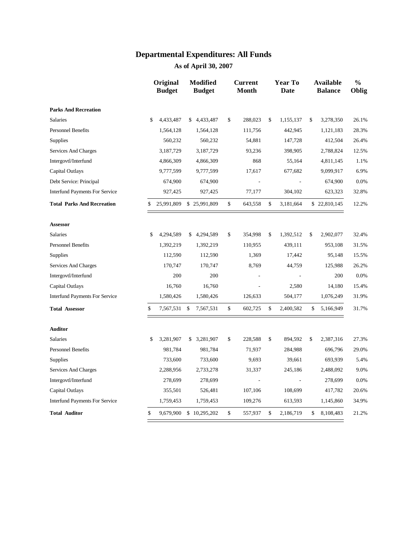|                                       | Original<br><b>Budget</b> |               | <b>Modified</b><br><b>Budget</b> | <b>Current</b><br><b>Month</b> | <b>Year To</b><br>Date | <b>Available</b><br><b>Balance</b> | $\frac{0}{0}$<br>Oblig |
|---------------------------------------|---------------------------|---------------|----------------------------------|--------------------------------|------------------------|------------------------------------|------------------------|
| <b>Parks And Recreation</b>           |                           |               |                                  |                                |                        |                                    |                        |
| <b>Salaries</b>                       | \$<br>4,433,487           | \$            | 4,433,487                        | \$<br>288,023                  | \$<br>1,155,137        | \$<br>3,278,350                    | 26.1%                  |
| <b>Personnel Benefits</b>             | 1,564,128                 |               | 1,564,128                        | 111,756                        | 442,945                | 1,121,183                          | 28.3%                  |
| <b>Supplies</b>                       | 560,232                   |               | 560,232                          | 54,881                         | 147,728                | 412,504                            | 26.4%                  |
| Services And Charges                  | 3,187,729                 |               | 3,187,729                        | 93,236                         | 398,905                | 2,788,824                          | 12.5%                  |
| Intergovtl/Interfund                  | 4,866,309                 |               | 4,866,309                        | 868                            | 55,164                 | 4,811,145                          | 1.1%                   |
| Capital Outlays                       | 9,777,599                 |               | 9,777,599                        | 17,617                         | 677,682                | 9,099,917                          | 6.9%                   |
| Debt Service: Principal               | 674,900                   |               | 674,900                          | $\overline{a}$                 |                        | 674,900                            | 0.0%                   |
| <b>Interfund Payments For Service</b> | 927,425                   |               | 927,425                          | 77,177                         | 304,102                | 623,323                            | 32.8%                  |
| <b>Total Parks And Recreation</b>     | \$<br>25,991,809          |               | \$25,991,809                     | \$<br>643,558                  | \$<br>3,181,664        | \$22,810,145                       | 12.2%                  |
| <b>Assessor</b>                       |                           |               |                                  |                                |                        |                                    |                        |
| <b>Salaries</b>                       | \$<br>4,294,589           | \$            | 4,294,589                        | \$<br>354,998                  | \$<br>1,392,512        | \$<br>2,902,077                    | 32.4%                  |
| <b>Personnel Benefits</b>             | 1,392,219                 |               | 1,392,219                        | 110,955                        | 439,111                | 953,108                            | 31.5%                  |
| <b>Supplies</b>                       | 112,590                   |               | 112,590                          | 1,369                          | 17,442                 | 95,148                             | 15.5%                  |
| Services And Charges                  | 170,747                   |               | 170,747                          | 8,769                          | 44,759                 | 125,988                            | 26.2%                  |
| Intergovtl/Interfund                  | 200                       |               | 200                              |                                |                        | 200                                | 0.0%                   |
| Capital Outlays                       | 16,760                    |               | 16,760                           |                                | 2,580                  | 14,180                             | 15.4%                  |
| <b>Interfund Payments For Service</b> | 1,580,426                 |               | 1,580,426                        | 126,633                        | 504,177                | 1,076,249                          | 31.9%                  |
| <b>Total Assessor</b>                 | \$<br>7,567,531           | $\mathcal{S}$ | 7,567,531                        | \$<br>602,725                  | \$<br>2,400,582        | \$<br>5,166,949                    | 31.7%                  |
| <b>Auditor</b>                        |                           |               |                                  |                                |                        |                                    |                        |
| <b>Salaries</b>                       | \$<br>3,281,907           | \$            | 3,281,907                        | \$<br>228,588                  | \$<br>894,592          | \$<br>2,387,316                    | 27.3%                  |
| <b>Personnel Benefits</b>             | 981,784                   |               | 981,784                          | 71,937                         | 284,988                | 696,796                            | 29.0%                  |
| Supplies                              | 733,600                   |               | 733,600                          | 9,693                          | 39,661                 | 693,939                            | 5.4%                   |
| Services And Charges                  | 2,288,956                 |               | 2,733,278                        | 31,337                         | 245,186                | 2,488,092                          | 9.0%                   |
| Intergovtl/Interfund                  | 278,699                   |               | 278,699                          |                                |                        | 278,699                            | 0.0%                   |
| Capital Outlays                       | 355,501                   |               | 526,481                          | 107,106                        | 108,699                | 417,782                            | 20.6%                  |
| <b>Interfund Payments For Service</b> | 1,759,453                 |               | 1,759,453                        | 109,276                        | 613,593                | 1,145,860                          | 34.9%                  |
| <b>Total Auditor</b>                  | \$<br>9,679,900           |               | \$10,295,202                     | \$<br>557,937                  | \$<br>2,186,719        | \$<br>8,108,483                    | 21.2%                  |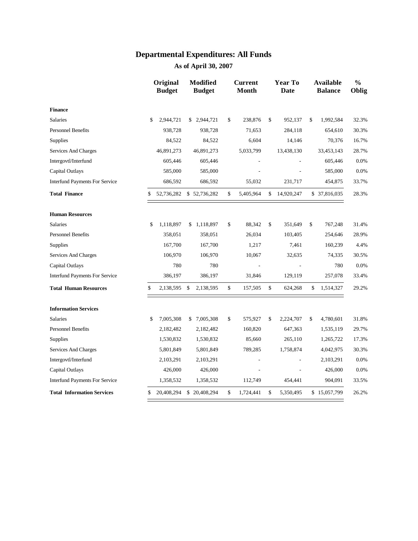|                                       | Original<br><b>Budget</b> |               | <b>Modified</b><br><b>Budget</b> |              | <b>Current</b><br><b>Month</b> | <b>Year To</b><br><b>Date</b> | <b>Available</b><br><b>Balance</b> | $\frac{0}{0}$<br>Oblig |
|---------------------------------------|---------------------------|---------------|----------------------------------|--------------|--------------------------------|-------------------------------|------------------------------------|------------------------|
| <b>Finance</b>                        |                           |               |                                  |              |                                |                               |                                    |                        |
| <b>Salaries</b>                       | \$<br>2,944,721           |               | \$2,944,721                      | \$           | 238,876                        | \$<br>952,137                 | \$<br>1,992,584                    | 32.3%                  |
| <b>Personnel Benefits</b>             | 938,728                   |               | 938,728                          |              | 71,653                         | 284,118                       | 654,610                            | 30.3%                  |
| Supplies                              | 84,522                    |               | 84,522                           |              | 6,604                          | 14,146                        | 70,376                             | 16.7%                  |
| Services And Charges                  | 46,891,273                |               | 46,891,273                       |              | 5,033,799                      | 13,438,130                    | 33,453,143                         | 28.7%                  |
| Intergovtl/Interfund                  | 605,446                   |               | 605,446                          |              |                                |                               | 605,446                            | 0.0%                   |
| Capital Outlays                       | 585,000                   |               | 585,000                          |              |                                |                               | 585,000                            | 0.0%                   |
| <b>Interfund Payments For Service</b> | 686,592                   |               | 686,592                          |              | 55,032                         | 231,717                       | 454,875                            | 33.7%                  |
| <b>Total Finance</b>                  | \$<br>52,736,282          |               | \$52,736,282                     | \$           | 5,405,964                      | \$<br>14,920,247              | \$ 37,816,035                      | 28.3%                  |
| <b>Human Resources</b>                |                           |               |                                  |              |                                |                               |                                    |                        |
| Salaries                              | \$<br>1,118,897           |               | \$1,118,897                      | \$           | 88,342                         | \$<br>351,649                 | \$<br>767,248                      | 31.4%                  |
| <b>Personnel Benefits</b>             | 358,051                   |               | 358,051                          |              | 26,034                         | 103,405                       | 254,646                            | 28.9%                  |
| <b>Supplies</b>                       | 167,700                   |               | 167,700                          |              | 1,217                          | 7,461                         | 160,239                            | 4.4%                   |
| Services And Charges                  | 106,970                   |               | 106,970                          |              | 10,067                         | 32,635                        | 74,335                             | 30.5%                  |
| Capital Outlays                       | 780                       |               | 780                              |              |                                |                               | 780                                | 0.0%                   |
| <b>Interfund Payments For Service</b> | 386,197                   |               | 386,197                          |              | 31,846                         | 129,119                       | 257,078                            | 33.4%                  |
| <b>Total Human Resources</b>          | \$<br>2,138,595           | $\mathbf{\$}$ | 2,138,595                        | $\mathbb{S}$ | 157,505                        | \$<br>624,268                 | \$<br>1,514,327                    | 29.2%                  |
| <b>Information Services</b>           |                           |               |                                  |              |                                |                               |                                    |                        |
| <b>Salaries</b>                       | \$<br>7,005,308           |               | \$7,005,308                      | \$           | 575,927                        | \$<br>2,224,707               | \$<br>4,780,601                    | 31.8%                  |
| <b>Personnel Benefits</b>             | 2,182,482                 |               | 2,182,482                        |              | 160,820                        | 647,363                       | 1,535,119                          | 29.7%                  |
| Supplies                              | 1,530,832                 |               | 1,530,832                        |              | 85,660                         | 265,110                       | 1,265,722                          | 17.3%                  |
| Services And Charges                  | 5,801,849                 |               | 5,801,849                        |              | 789,285                        | 1,758,874                     | 4,042,975                          | 30.3%                  |
| Intergovtl/Interfund                  | 2,103,291                 |               | 2,103,291                        |              |                                |                               | 2,103,291                          | 0.0%                   |
| Capital Outlays                       | 426,000                   |               | 426,000                          |              |                                |                               | 426,000                            | 0.0%                   |
| <b>Interfund Payments For Service</b> | 1,358,532                 |               | 1,358,532                        |              | 112,749                        | 454,441                       | 904,091                            | 33.5%                  |
| <b>Total Information Services</b>     | \$<br>20,408,294          |               | \$20,408,294                     | \$           | 1,724,441                      | \$<br>5,350,495               | \$15,057,799                       | 26.2%                  |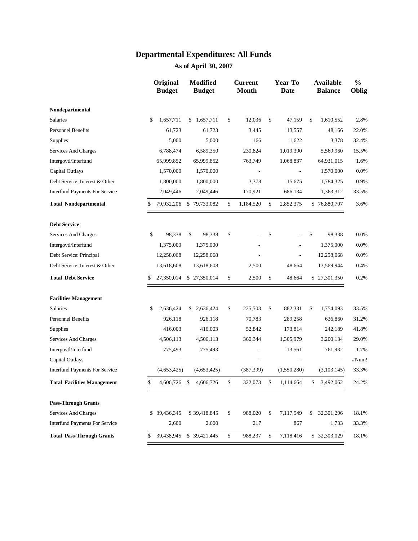|                                       |    | Original<br><b>Budget</b> | <b>Modified</b><br><b>Budget</b> | <b>Current</b><br><b>Month</b> | <b>Year To</b><br><b>Date</b> | <b>Available</b><br><b>Balance</b> | $\frac{0}{0}$<br>Oblig |
|---------------------------------------|----|---------------------------|----------------------------------|--------------------------------|-------------------------------|------------------------------------|------------------------|
| Nondepartmental                       |    |                           |                                  |                                |                               |                                    |                        |
| Salaries                              | \$ | 1,657,711                 | \$1,657,711                      | \$<br>12,036                   | \$<br>47,159                  | \$<br>1,610,552                    | 2.8%                   |
| <b>Personnel Benefits</b>             |    | 61,723                    | 61,723                           | 3,445                          | 13,557                        | 48,166                             | 22.0%                  |
| <b>Supplies</b>                       |    | 5,000                     | 5,000                            | 166                            | 1,622                         | 3,378                              | 32.4%                  |
| Services And Charges                  |    | 6,788,474                 | 6,589,350                        | 230,824                        | 1,019,390                     | 5,569,960                          | 15.5%                  |
| Intergovtl/Interfund                  |    | 65,999,852                | 65,999,852                       | 763,749                        | 1,068,837                     | 64,931,015                         | 1.6%                   |
| Capital Outlays                       |    | 1,570,000                 | 1,570,000                        |                                |                               | 1,570,000                          | 0.0%                   |
| Debt Service: Interest & Other        |    | 1,800,000                 | 1,800,000                        | 3,378                          | 15,675                        | 1,784,325                          | 0.9%                   |
| <b>Interfund Payments For Service</b> |    | 2,049,446                 | 2,049,446                        | 170,921                        | 686,134                       | 1,363,312                          | 33.5%                  |
| <b>Total Nondepartmental</b>          | \$ | 79,932,206                | \$79,733,082                     | \$<br>1,184,520                | \$<br>2,852,375               | \$76,880,707                       | 3.6%                   |
| <b>Debt Service</b>                   |    |                           |                                  |                                |                               |                                    |                        |
| Services And Charges                  | \$ | 98,338                    | \$<br>98,338                     | \$                             | \$                            | \$<br>98,338                       | 0.0%                   |
| Intergovtl/Interfund                  |    | 1,375,000                 | 1,375,000                        |                                |                               | 1,375,000                          | 0.0%                   |
| Debt Service: Principal               |    | 12,258,068                | 12,258,068                       |                                |                               | 12,258,068                         | 0.0%                   |
| Debt Service: Interest & Other        |    | 13,618,608                | 13,618,608                       | 2,500                          | 48,664                        | 13,569,944                         | 0.4%                   |
| <b>Total Debt Service</b>             | S  | 27,350,014                | \$27,350,014                     | \$<br>2,500                    | \$<br>48,664                  | \$27,301,350                       | 0.2%                   |
| <b>Facilities Management</b>          |    |                           |                                  |                                |                               |                                    |                        |
| Salaries                              | \$ | 2,636,424                 | \$<br>2,636,424                  | \$<br>225,503                  | \$<br>882,331                 | \$<br>1,754,093                    | 33.5%                  |
| Personnel Benefits                    |    | 926,118                   | 926,118                          | 70,783                         | 289,258                       | 636,860                            | 31.2%                  |
| Supplies                              |    | 416,003                   | 416,003                          | 52,842                         | 173,814                       | 242,189                            | 41.8%                  |
| Services And Charges                  |    | 4,506,113                 | 4,506,113                        | 360,344                        | 1,305,979                     | 3,200,134                          | 29.0%                  |
| Intergovtl/Interfund                  |    | 775,493                   | 775,493                          |                                | 13,561                        | 761,932                            | 1.7%                   |
| Capital Outlays                       |    |                           |                                  |                                |                               | $\overline{\phantom{a}}$           | #Num!                  |
| <b>Interfund Payments For Service</b> |    | (4,653,425)               | (4,653,425)                      | (387, 399)                     | (1,550,280)                   | (3,103,145)                        | 33.3%                  |
| <b>Total Facilities Management</b>    | \$ | 4,606,726                 | \$<br>4,606,726                  | \$<br>322,073                  | \$<br>1,114,664               | \$<br>3,492,062                    | 24.2%                  |
| <b>Pass-Through Grants</b>            |    |                           |                                  |                                |                               |                                    |                        |
| Services And Charges                  | \$ | 39,436,345                | \$39,418,845                     | \$<br>988,020                  | \$<br>7,117,549               | \$<br>32,301,296                   | 18.1%                  |
| <b>Interfund Payments For Service</b> |    | 2,600                     | 2,600                            | 217                            | 867                           | 1,733                              | 33.3%                  |
| <b>Total Pass-Through Grants</b>      | \$ | 39,438,945                | \$ 39,421,445                    | \$<br>988,237                  | \$<br>7,118,416               | \$ 32,303,029                      | 18.1%                  |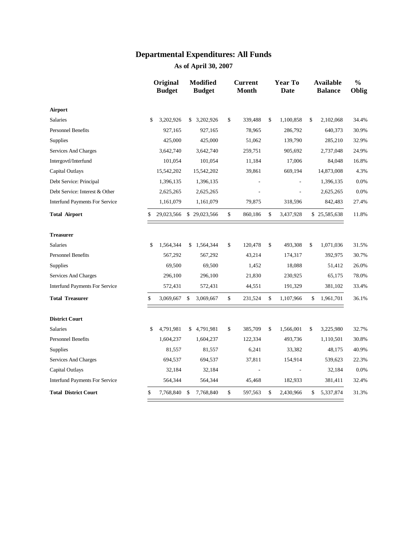|                                       | Original<br><b>Budget</b> | <b>Modified</b><br><b>Budget</b> |      | <b>Current</b><br><b>Month</b> |              | <b>Year To</b><br><b>Date</b> | <b>Available</b><br><b>Balance</b> | $\frac{0}{0}$<br>Oblig |
|---------------------------------------|---------------------------|----------------------------------|------|--------------------------------|--------------|-------------------------------|------------------------------------|------------------------|
| Airport                               |                           |                                  |      |                                |              |                               |                                    |                        |
| <b>Salaries</b>                       | \$<br>3,202,926           | \$3,202,926                      | \$   | 339,488                        | $\mathbb{S}$ | 1,100,858                     | \$<br>2,102,068                    | 34.4%                  |
| <b>Personnel Benefits</b>             | 927,165                   | 927,165                          |      | 78,965                         |              | 286,792                       | 640,373                            | 30.9%                  |
| Supplies                              | 425,000                   | 425,000                          |      | 51,062                         |              | 139,790                       | 285,210                            | 32.9%                  |
| Services And Charges                  | 3,642,740                 | 3,642,740                        |      | 259,751                        |              | 905,692                       | 2,737,048                          | 24.9%                  |
| Intergovtl/Interfund                  | 101,054                   | 101,054                          |      | 11,184                         |              | 17,006                        | 84,048                             | 16.8%                  |
| Capital Outlays                       | 15,542,202                | 15,542,202                       |      | 39,861                         |              | 669,194                       | 14,873,008                         | 4.3%                   |
| Debt Service: Principal               | 1,396,135                 | 1,396,135                        |      |                                |              |                               | 1,396,135                          | 0.0%                   |
| Debt Service: Interest & Other        | 2,625,265                 | 2,625,265                        |      |                                |              |                               | 2,625,265                          | 0.0%                   |
| <b>Interfund Payments For Service</b> | 1,161,079                 | 1,161,079                        |      | 79,875                         |              | 318,596                       | 842,483                            | 27.4%                  |
| <b>Total Airport</b>                  | \$<br>29,023,566          | \$29,023,566                     | $\$$ | 860,186                        | \$           | 3,437,928                     | \$25,585,638                       | 11.8%                  |
| <b>Treasurer</b>                      |                           |                                  |      |                                |              |                               |                                    |                        |
| <b>Salaries</b>                       | \$<br>1,564,344           | \$1,564,344                      | \$   | 120,478                        | \$           | 493,308                       | \$<br>1,071,036                    | 31.5%                  |
| <b>Personnel Benefits</b>             | 567,292                   | 567,292                          |      | 43,214                         |              | 174,317                       | 392,975                            | 30.7%                  |
| Supplies                              | 69,500                    | 69,500                           |      | 1,452                          |              | 18,088                        | 51,412                             | 26.0%                  |
| Services And Charges                  | 296,100                   | 296,100                          |      | 21,830                         |              | 230,925                       | 65,175                             | 78.0%                  |
| <b>Interfund Payments For Service</b> | 572,431                   | 572,431                          |      | 44,551                         |              | 191,329                       | 381,102                            | 33.4%                  |
| <b>Total Treasurer</b>                | \$<br>3,069,667           | \$<br>3,069,667                  | \$   | 231,524                        | \$           | 1,107,966                     | \$<br>1,961,701                    | 36.1%                  |
| <b>District Court</b>                 |                           |                                  |      |                                |              |                               |                                    |                        |
| <b>Salaries</b>                       | \$<br>4,791,981           | \$4,791,981                      | \$   | 385,709                        | \$           | 1,566,001                     | \$<br>3,225,980                    | 32.7%                  |
| <b>Personnel Benefits</b>             | 1,604,237                 | 1,604,237                        |      | 122,334                        |              | 493,736                       | 1,110,501                          | 30.8%                  |
| Supplies                              | 81,557                    | 81,557                           |      | 6,241                          |              | 33,382                        | 48,175                             | 40.9%                  |
| Services And Charges                  | 694,537                   | 694,537                          |      | 37,811                         |              | 154,914                       | 539,623                            | 22.3%                  |
| Capital Outlays                       | 32,184                    | 32,184                           |      | $\frac{1}{2}$                  |              | ÷                             | 32,184                             | 0.0%                   |
| <b>Interfund Payments For Service</b> | 564,344                   | 564,344                          |      | 45,468                         |              | 182,933                       | 381,411                            | 32.4%                  |
| <b>Total District Court</b>           | \$<br>7,768,840           | \$<br>7,768,840                  | \$   | 597,563                        | \$           | 2,430,966                     | \$<br>5,337,874                    | 31.3%                  |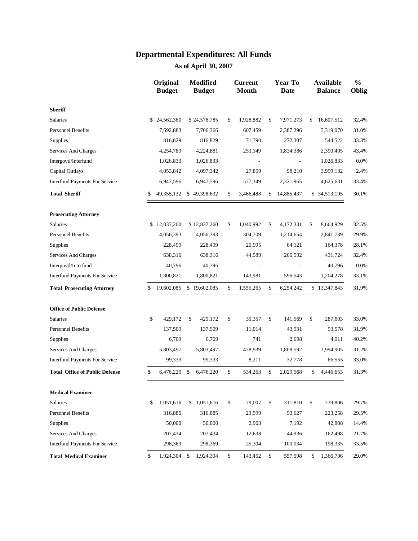|                                       | Original<br><b>Budget</b> | <b>Modified</b><br><b>Budget</b> | <b>Current</b><br><b>Month</b> | <b>Year To</b><br><b>Date</b> | <b>Available</b><br><b>Balance</b> | $\frac{0}{0}$<br>Oblig |
|---------------------------------------|---------------------------|----------------------------------|--------------------------------|-------------------------------|------------------------------------|------------------------|
| <b>Sheriff</b>                        |                           |                                  |                                |                               |                                    |                        |
| <b>Salaries</b>                       | \$24,562,360              | \$24,578,785                     | \$<br>1,928,882                | \$<br>7,971,273               | \$<br>16,607,512                   | 32.4%                  |
| <b>Personnel Benefits</b>             | 7,692,883                 | 7,706,366                        | 607,459                        | 2,387,296                     | 5,319,070                          | 31.0%                  |
| <b>Supplies</b>                       | 816,829                   | 816,829                          | 71,790                         | 272,307                       | 544,522                            | 33.3%                  |
| Services And Charges                  | 4,254,789                 | 4,224,881                        | 253,149                        | 1,834,386                     | 2,390,495                          | 43.4%                  |
| Intergovtl/Interfund                  | 1,026,833                 | 1,026,833                        |                                |                               | 1,026,833                          | 0.0%                   |
| Capital Outlays                       | 4,053,842                 | 4,097,342                        | 27,859                         | 98,210                        | 3,999,132                          | 2.4%                   |
| <b>Interfund Payments For Service</b> | 6,947,596                 | 6,947,596                        | 577,349                        | 2,321,965                     | 4,625,631                          | 33.4%                  |
| <b>Total Sheriff</b>                  | \$<br>49,355,132          | \$49,398,632                     | \$<br>3,466,488                | \$<br>14,885,437              | \$ 34,513,195                      | 30.1%                  |
| <b>Prosecuting Attorney</b>           |                           |                                  |                                |                               |                                    |                        |
| <b>Salaries</b>                       | \$12,837,260              | \$12,837,260                     | \$<br>1,040,992                | \$<br>4,172,331               | \$<br>8,664,929                    | 32.5%                  |
| <b>Personnel Benefits</b>             | 4,056,393                 | 4,056,393                        | 304,709                        | 1,214,654                     | 2,841,739                          | 29.9%                  |
| Supplies                              | 228,499                   | 228,499                          | 20,995                         | 64,121                        | 164,378                            | 28.1%                  |
| Services And Charges                  | 638,316                   | 638,316                          | 44,589                         | 206,592                       | 431,724                            | 32.4%                  |
| Intergovtl/Interfund                  | 40,796                    | 40,796                           |                                |                               | 40,796                             | 0.0%                   |
| <b>Interfund Payments For Service</b> | 1,800,821                 | 1,800,821                        | 143,981                        | 596,543                       | 1,204,278                          | 33.1%                  |
| <b>Total Prosecuting Attorney</b>     | \$<br>19,602,085          | \$19,602,085                     | \$<br>1,555,265                | \$<br>6,254,242               | \$13,347,843                       | 31.9%                  |
| <b>Office of Public Defense</b>       |                           |                                  |                                |                               |                                    |                        |
| Salaries                              | \$<br>429,172             | \$<br>429,172                    | \$<br>35,357                   | \$<br>141,569                 | \$<br>287,603                      | 33.0%                  |
| <b>Personnel Benefits</b>             | 137,509                   | 137,509                          | 11,014                         | 43,931                        | 93,578                             | 31.9%                  |
| Supplies                              | 6,709                     | 6,709                            | 741                            | 2,698                         | 4,011                              | 40.2%                  |
| Services And Charges                  | 5,803,497                 | 5,803,497                        | 478,939                        | 1,808,592                     | 3,994,905                          | 31.2%                  |
| <b>Interfund Payments For Service</b> | 99,333                    | 99,333                           | 8,211                          | 32,778                        | 66,555                             | 33.0%                  |
| <b>Total Office of Public Defense</b> | \$<br>6,476,220           | \$<br>6,476,220                  | \$<br>534,263                  | \$<br>2,029,568               | \$<br>4,446,653                    | 31.3%                  |
| <b>Medical Examiner</b>               |                           |                                  |                                |                               |                                    |                        |
| Salaries                              | \$<br>1,051,616           | \$1,051,616                      | \$<br>79,007                   | \$<br>311,810                 | \$<br>739,806                      | 29.7%                  |
| <b>Personnel Benefits</b>             | 316,885                   | 316,885                          | 23,599                         | 93,627                        | 223,258                            | 29.5%                  |
| <b>Supplies</b>                       | 50,000                    | 50,000                           | 2,903                          | 7,192                         | 42,808                             | 14.4%                  |
| Services And Charges                  | 207,434                   | 207,434                          | 12,638                         | 44,936                        | 162,498                            | 21.7%                  |
| <b>Interfund Payments For Service</b> | 298,369                   | 298,369                          | 25,304                         | 100,034                       | 198,335                            | 33.5%                  |
| <b>Total Medical Examiner</b>         | \$<br>1,924,304           | \$<br>1,924,304                  | \$<br>143,452                  | \$<br>557,598                 | \$<br>1,366,706                    | 29.0%                  |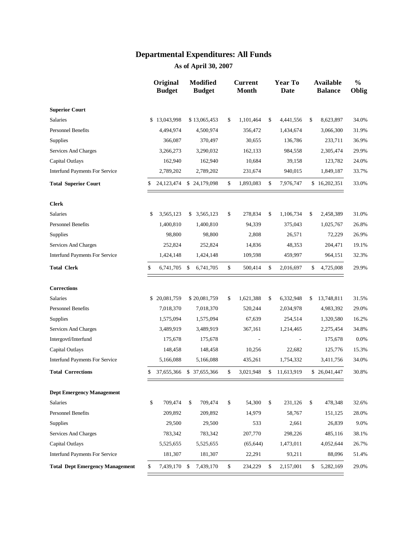|                                        | Original<br><b>Budget</b> | <b>Modified</b><br><b>Budget</b> |              | <b>Current</b><br><b>Month</b> | <b>Year To</b><br><b>Date</b> | <b>Available</b><br><b>Balance</b> | $\frac{0}{0}$<br>Oblig |
|----------------------------------------|---------------------------|----------------------------------|--------------|--------------------------------|-------------------------------|------------------------------------|------------------------|
| <b>Superior Court</b>                  |                           |                                  |              |                                |                               |                                    |                        |
| Salaries                               | \$<br>13,043,998          | \$13,065,453                     | \$           | 1,101,464                      | \$<br>4,441,556               | \$<br>8,623,897                    | 34.0%                  |
| <b>Personnel Benefits</b>              | 4,494,974                 | 4,500,974                        |              | 356,472                        | 1,434,674                     | 3,066,300                          | 31.9%                  |
| <b>Supplies</b>                        | 366,087                   | 370,497                          |              | 30,655                         | 136,786                       | 233,711                            | 36.9%                  |
| Services And Charges                   | 3,266,273                 | 3,290,032                        |              | 162,133                        | 984,558                       | 2,305,474                          | 29.9%                  |
| Capital Outlays                        | 162,940                   | 162,940                          |              | 10,684                         | 39,158                        | 123,782                            | 24.0%                  |
| <b>Interfund Payments For Service</b>  | 2,789,202                 | 2,789,202                        |              | 231,674                        | 940,015                       | 1,849,187                          | 33.7%                  |
| <b>Total Superior Court</b>            | \$<br>24,123,474          | \$24,179,098                     | \$           | 1,893,083                      | \$<br>7,976,747               | \$16,202,351                       | 33.0%                  |
| <b>Clerk</b>                           |                           |                                  |              |                                |                               |                                    |                        |
| <b>Salaries</b>                        | \$<br>3,565,123           | \$3,565,123                      | \$           | 278,834                        | \$<br>1,106,734               | \$<br>2,458,389                    | 31.0%                  |
| <b>Personnel Benefits</b>              | 1,400,810                 | 1,400,810                        |              | 94,339                         | 375,043                       | 1,025,767                          | 26.8%                  |
| Supplies                               | 98,800                    | 98,800                           |              | 2,808                          | 26,571                        | 72,229                             | 26.9%                  |
| Services And Charges                   | 252,824                   | 252,824                          |              | 14,836                         | 48,353                        | 204,471                            | 19.1%                  |
| <b>Interfund Payments For Service</b>  | 1,424,148                 | 1,424,148                        |              | 109,598                        | 459,997                       | 964,151                            | 32.3%                  |
| <b>Total Clerk</b>                     | \$<br>6,741,705           | \$<br>6,741,705                  | \$           | 500,414                        | \$<br>2,016,697               | \$<br>4,725,008                    | 29.9%                  |
| <b>Corrections</b>                     |                           |                                  |              |                                |                               |                                    |                        |
| <b>Salaries</b>                        | \$20,081,759              | \$20,081,759                     | \$           | 1,621,388                      | \$<br>6,332,948               | \$<br>13,748,811                   | 31.5%                  |
| <b>Personnel Benefits</b>              | 7,018,370                 | 7,018,370                        |              | 520,244                        | 2,034,978                     | 4,983,392                          | 29.0%                  |
| Supplies                               | 1,575,094                 | 1,575,094                        |              | 67,639                         | 254,514                       | 1,320,580                          | 16.2%                  |
| Services And Charges                   | 3,489,919                 | 3,489,919                        |              | 367,161                        | 1,214,465                     | 2,275,454                          | 34.8%                  |
| Intergovtl/Interfund                   | 175,678                   | 175,678                          |              |                                |                               | 175,678                            | 0.0%                   |
| Capital Outlays                        | 148,458                   | 148,458                          |              | 10,256                         | 22,682                        | 125,776                            | 15.3%                  |
| <b>Interfund Payments For Service</b>  | 5,166,088                 | 5,166,088                        |              | 435,261                        | 1,754,332                     | 3,411,756                          | 34.0%                  |
| <b>Total Corrections</b>               | \$<br>37,655,366          | \$<br>37,655,366                 | \$           | 3,021,948                      | \$<br>11,613,919              | \$26,041,447                       | 30.8%                  |
| <b>Dept Emergency Management</b>       |                           |                                  |              |                                |                               |                                    |                        |
| Salaries                               | \$<br>709,474             | \$<br>709,474                    | \$           | 54,300                         | \$<br>231,126                 | \$<br>478,348                      | 32.6%                  |
| <b>Personnel Benefits</b>              | 209,892                   | 209,892                          |              | 14,979                         | 58,767                        | 151,125                            | 28.0%                  |
| <b>Supplies</b>                        | 29,500                    | 29,500                           |              | 533                            | 2,661                         | 26,839                             | 9.0%                   |
| Services And Charges                   | 783,342                   | 783,342                          |              | 207,770                        | 298,226                       | 485,116                            | 38.1%                  |
| Capital Outlays                        | 5,525,655                 | 5,525,655                        |              | (65, 644)                      | 1,473,011                     | 4,052,644                          | 26.7%                  |
| <b>Interfund Payments For Service</b>  | 181,307                   | 181,307                          |              | 22,291                         | 93,211                        | 88,096                             | 51.4%                  |
| <b>Total Dept Emergency Management</b> | \$<br>7,439,170           | \$<br>7,439,170                  | $\mathbb{S}$ | 234,229                        | \$<br>2,157,001               | \$<br>5,282,169                    | 29.0%                  |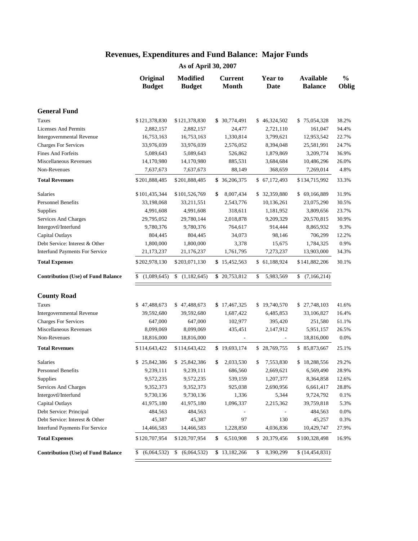|                                           | Original<br><b>Budget</b> | <b>Modified</b><br><b>Budget</b> | <b>Current</b><br><b>Month</b> | Year to<br><b>Date</b>   | <b>Available</b><br><b>Balance</b> | $\frac{0}{0}$<br>Oblig |
|-------------------------------------------|---------------------------|----------------------------------|--------------------------------|--------------------------|------------------------------------|------------------------|
| <b>General Fund</b>                       |                           |                                  |                                |                          |                                    |                        |
| <b>Taxes</b>                              | \$121,378,830             | \$121,378,830                    | \$ 30,774,491                  | \$46,324,502             | \$75,054,328                       | 38.2%                  |
| <b>Licenses And Permits</b>               | 2,882,157                 | 2,882,157                        | 24,477                         | 2,721,110                | 161,047                            | 94.4%                  |
| <b>Intergovernmental Revenue</b>          | 16,753,163                | 16,753,163                       | 1,330,814                      | 3,799,621                | 12,953,542                         | 22.7%                  |
| <b>Charges For Services</b>               | 33,976,039                | 33,976,039                       | 2,576,052                      | 8,394,048                | 25,581,991                         | 24.7%                  |
| <b>Fines And Forfeits</b>                 | 5,089,643                 | 5,089,643                        | 526,862                        | 1,879,869                | 3,209,774                          | 36.9%                  |
| Miscellaneous Revenues                    | 14,170,980                | 14,170,980                       | 885,531                        | 3,684,684                | 10,486,296                         | 26.0%                  |
| Non-Revenues                              | 7,637,673                 | 7,637,673                        | 88,149                         | 368,659                  | 7,269,014                          | 4.8%                   |
| <b>Total Revenues</b>                     | \$201,888,485             | \$201,888,485                    | \$36,206,375                   | \$67,172,493             | \$134,715,992                      | 33.3%                  |
| Salaries                                  | \$101,435,344             | \$101,526,769                    | 8,007,434<br>\$                | \$32,359,880             | \$69,166,889                       | 31.9%                  |
| <b>Personnel Benefits</b>                 | 33,198,068                | 33,211,551                       | 2,543,776                      | 10,136,261               | 23,075,290                         | 30.5%                  |
| Supplies                                  | 4,991,608                 | 4,991,608                        | 318,611                        | 1,181,952                | 3,809,656                          | 23.7%                  |
| Services And Charges                      | 29,795,052                | 29,780,144                       | 2,018,878                      | 9,209,329                | 20,570,815                         | 30.9%                  |
| Intergovtl/Interfund                      | 9,780,376                 | 9,780,376                        | 764,617                        | 914,444                  | 8,865,932                          | 9.3%                   |
| Capital Outlays                           | 804,445                   | 804,445                          | 34,073                         | 98,146                   | 706,299                            | 12.2%                  |
| Debt Service: Interest & Other            | 1,800,000                 | 1,800,000                        | 3,378                          | 15,675                   | 1,784,325                          | 0.9%                   |
| <b>Interfund Payments For Service</b>     | 21,173,237                | 21,176,237                       | 1,761,795                      | 7,273,237                | 13,903,000                         | 34.3%                  |
| <b>Total Expenses</b>                     | \$202,978,130             | \$203,071,130                    | \$15,452,563                   | \$61,188,924             | \$141,882,206                      | 30.1%                  |
| <b>Contribution (Use) of Fund Balance</b> | (1,089,645)<br>\$         | \$<br>(1,182,645)                | \$20,753,812                   | \$<br>5,983,569          | (7,166,214)<br>\$                  |                        |
| <b>County Road</b>                        |                           |                                  |                                |                          |                                    |                        |
| Taxes                                     | \$47,488,673              | \$47,488,673                     | \$17,467,325                   | \$19,740,570             | \$27,748,103                       | 41.6%                  |
| Intergovernmental Revenue                 | 39,592,680                | 39,592,680                       | 1,687,422                      | 6,485,853                | 33,106,827                         | 16.4%                  |
| <b>Charges For Services</b>               | 647,000                   | 647,000                          | 102,977                        | 395,420                  | 251,580                            | 61.1%                  |
| Miscellaneous Revenues                    | 8,099,069                 | 8,099,069                        | 435,451                        | 2,147,912                | 5,951,157                          | 26.5%                  |
| Non-Revenues                              | 18,816,000                | 18,816,000                       | $\overline{\phantom{a}}$       | $\overline{\phantom{a}}$ | 18,816,000                         | 0.0%                   |
| <b>Total Revenues</b>                     | \$114,643,422             | \$114,643,422                    | \$19,693,174                   | \$28,769,755             | \$85,873,667                       | 25.1%                  |
| <b>Salaries</b>                           | \$25,842,386              | \$25,842,386                     | \$<br>2,033,530                | \$<br>7,553,830          | \$18,288,556                       | 29.2%                  |
| <b>Personnel Benefits</b>                 | 9,239,111                 | 9,239,111                        | 686,560                        | 2,669,621                | 6,569,490                          | 28.9%                  |
| <b>Supplies</b>                           | 9,572,235                 | 9,572,235                        | 539,159                        | 1,207,377                | 8,364,858                          | 12.6%                  |
| Services And Charges                      | 9,352,373                 | 9,352,373                        | 925,038                        | 2,690,956                | 6,661,417                          | 28.8%                  |
| Intergovtl/Interfund                      | 9,730,136                 | 9,730,136                        | 1,336                          | 5,344                    | 9,724,792                          | 0.1%                   |
| Capital Outlays                           | 41,975,180                | 41,975,180                       | 1,096,337                      | 2,215,362                | 39,759,818                         | 5.3%                   |
| Debt Service: Principal                   | 484,563                   | 484,563                          |                                |                          | 484,563                            | 0.0%                   |
| Debt Service: Interest & Other            | 45,387                    | 45,387                           | 97                             | 130                      | 45,257                             | 0.3%                   |
| <b>Interfund Payments For Service</b>     | 14,466,583                | 14,466,583                       | 1,228,850                      | 4,036,836                | 10,429,747                         | 27.9%                  |
| <b>Total Expenses</b>                     | \$120,707,954             | \$120,707,954                    | 6,510,908<br>\$                | \$20,379,456             | \$100,328,498                      | 16.9%                  |
| <b>Contribution (Use) of Fund Balance</b> | (6,064,532)               | (6,064,532)<br>S.                | \$13,182,266                   | 8,390,299<br>\$          | \$(14, 454, 831)                   |                        |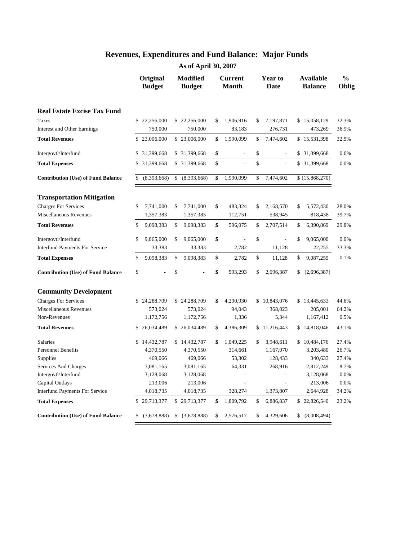|                                           | Original<br><b>Budget</b> | <b>Modified</b><br><b>Budget</b> | <b>Current</b><br><b>Month</b> | Year to<br>Date      | <b>Available</b><br><b>Balance</b> | $\frac{0}{0}$<br>Oblig |
|-------------------------------------------|---------------------------|----------------------------------|--------------------------------|----------------------|------------------------------------|------------------------|
| <b>Real Estate Excise Tax Fund</b>        |                           |                                  |                                |                      |                                    |                        |
| Taxes                                     | \$22,256,000              | \$22,256,000                     | \$<br>1,906,916                | \$<br>7,197,871      | \$15,058,129                       | 32.3%                  |
| Interest and Other Earnings               | 750,000                   | 750,000                          | 83,183                         | 276,731              | 473,269                            | 36.9%                  |
| <b>Total Revenues</b>                     | \$23,006,000              | \$23,006,000                     | \$<br>1,990,099                | \$<br>7,474,602      | \$15,531,398                       | 32.5%                  |
| Intergovtl/Interfund                      | \$<br>31,399,668          | \$ 31,399,668                    | \$                             | \$<br>$\frac{1}{2}$  | \$<br>31,399,668                   | 0.0%                   |
| <b>Total Expenses</b>                     | \$ 31,399,668             | \$ 31,399,668                    | \$                             | \$<br>$\overline{a}$ | \$ 31,399,668                      | 0.0%                   |
| <b>Contribution (Use) of Fund Balance</b> | \$<br>(8,393,668)         | \$<br>(8,393,668)                | \$<br>1,990,099                | \$<br>7,474,602      | $\overline{\$}$ (15,868,270)       |                        |
| <b>Transportation Mitigation</b>          |                           |                                  |                                |                      |                                    |                        |
| <b>Charges For Services</b>               | \$<br>7,741,000           | \$<br>7,741,000                  | \$<br>483,324                  | \$<br>2,168,570      | \$<br>5,572,430                    | 28.0%                  |
| Miscellaneous Revenues                    | 1,357,383                 | 1,357,383                        | 112,751                        | 538,945              | 818,438                            | 39.7%                  |
| <b>Total Revenues</b>                     | \$<br>9,098,383           | \$<br>9,098,383                  | \$<br>596,075                  | \$<br>2,707,514      | \$<br>6,390,869                    | 29.8%                  |
| Intergovtl/Interfund                      | \$<br>9,065,000           | \$<br>9,065,000                  | \$                             | \$<br>$\overline{a}$ | \$<br>9,065,000                    | 0.0%                   |
| <b>Interfund Payments For Service</b>     | 33,383                    | 33,383                           | 2,782                          | 11,128               | 22,255                             | 33.3%                  |
| <b>Total Expenses</b>                     | \$<br>9,098,383           | \$<br>9,098,383                  | \$<br>2,782                    | \$<br>11,128         | \$<br>9,087,255                    | 0.1%                   |
| <b>Contribution (Use) of Fund Balance</b> | \$<br>$\overline{a}$      | \$                               | \$<br>593,293                  | \$<br>2,696,387      | \$<br>(2,696,387)                  |                        |
| <b>Community Development</b>              |                           |                                  |                                |                      |                                    |                        |
| <b>Charges For Services</b>               | \$<br>24,288,709          | \$24,288,709                     | \$<br>4,290,930                | \$10,843,076         | \$13,445,633                       | 44.6%                  |
| Miscellaneous Revenues                    | 573,024                   | 573,024                          | 94,043                         | 368,023              | 205,001                            | 64.2%                  |
| Non-Revenues                              | 1,172,756                 | 1,172,756                        | 1,336                          | 5,344                | 1,167,412                          | 0.5%                   |
| <b>Total Revenues</b>                     | \$26,034,489              | \$26,034,489                     | \$<br>4,386,309                | \$11,216,443         | \$14,818,046                       | 43.1%                  |
| <b>Salaries</b>                           | \$14,432,787              | \$14,432,787                     | \$<br>1,049,225                | \$<br>3,948,611      | \$10,484,176                       | 27.4%                  |
| <b>Personnel Benefits</b>                 | 4,370,550                 | 4,370,550                        | 314,661                        | 1,167,070            | 3,203,480                          | 26.7%                  |
| Supplies                                  | 469,066                   | 469,066                          | 53,302                         | 128,433              | 340,633                            | 27.4%                  |
| Services And Charges                      | 3,081,165                 | 3,081,165                        | 64,331                         | 268,916              | 2,812,249                          | 8.7%                   |
| Intergovtl/Interfund                      | 3,128,068                 | 3,128,068                        |                                |                      | 3,128,068                          | 0.0%                   |
| Capital Outlays                           | 213,006                   | 213,006                          |                                |                      | 213,006                            | 0.0%                   |
| <b>Interfund Payments For Service</b>     | 4,018,735                 | 4,018,735                        | 328,274                        | 1,373,807            | 2,644,928                          | 34.2%                  |
| <b>Total Expenses</b>                     | \$29,713,377              | \$29,713,377                     | \$<br>1,809,792                | \$<br>6,886,837      | \$22,826,540                       | 23.2%                  |
| <b>Contribution (Use) of Fund Balance</b> | \$<br>(3,678,888)         | \$<br>(3,678,888)                | \$<br>2,576,517                | \$<br>4,329,606      | \$<br>(8,008,494)                  |                        |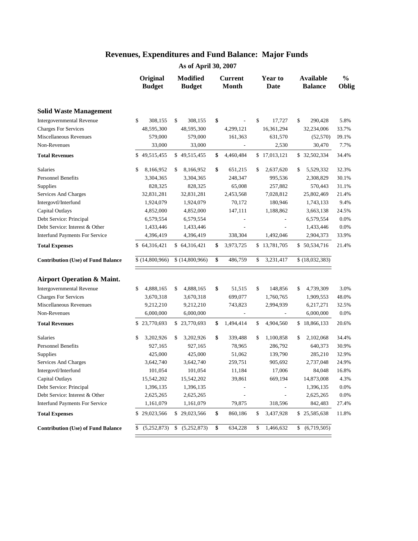|                                           | Original<br><b>Budget</b> | <b>Modified</b><br><b>Budget</b> |                    | <b>Current</b><br><b>Month</b> | <b>Year to</b><br>Date | <b>Available</b><br><b>Balance</b> | $\frac{0}{0}$<br>Oblig |
|-------------------------------------------|---------------------------|----------------------------------|--------------------|--------------------------------|------------------------|------------------------------------|------------------------|
| <b>Solid Waste Management</b>             |                           |                                  |                    |                                |                        |                                    |                        |
| Intergovernmental Revenue                 | \$<br>308,155             | \$<br>308,155                    | \$                 |                                | \$<br>17,727           | \$<br>290,428                      | 5.8%                   |
| <b>Charges For Services</b>               | 48,595,300                | 48,595,300                       |                    | 4,299,121                      | 16,361,294             | 32,234,006                         | 33.7%                  |
| Miscellaneous Revenues                    | 579,000                   | 579,000                          |                    | 161,363                        | 631,570                | (52, 570)                          | 09.1%                  |
| Non-Revenues                              | 33,000                    | 33,000                           |                    |                                | 2,530                  | 30,470                             | 7.7%                   |
| <b>Total Revenues</b>                     | \$49,515,455              | \$49,515,455                     | \$                 | 4,460,484                      | \$17,013,121           | \$ 32,502,334                      | 34.4%                  |
| Salaries                                  | \$<br>8,166,952           | \$<br>8,166,952                  | \$                 | 651,215                        | \$<br>2,637,620        | \$<br>5,529,332                    | 32.3%                  |
| <b>Personnel Benefits</b>                 | 3,304,365                 | 3,304,365                        |                    | 248,347                        | 995,536                | 2,308,829                          | 30.1%                  |
| Supplies                                  | 828,325                   | 828,325                          |                    | 65,008                         | 257,882                | 570,443                            | 31.1%                  |
| Services And Charges                      | 32,831,281                | 32,831,281                       |                    | 2,453,568                      | 7,028,812              | 25,802,469                         | 21.4%                  |
| Intergovtl/Interfund                      | 1,924,079                 | 1,924,079                        |                    | 70,172                         | 180,946                | 1,743,133                          | 9.4%                   |
| Capital Outlays                           | 4,852,000                 | 4,852,000                        |                    | 147,111                        | 1,188,862              | 3,663,138                          | 24.5%                  |
| Debt Service: Principal                   | 6,579,554                 | 6,579,554                        |                    |                                |                        | 6,579,554                          | 0.0%                   |
| Debt Service: Interest & Other            | 1,433,446                 | 1,433,446                        |                    |                                |                        | 1,433,446                          | 0.0%                   |
| <b>Interfund Payments For Service</b>     | 4,396,419                 | 4,396,419                        |                    | 338,304                        | 1,492,046              | 2,904,373                          | 33.9%                  |
| <b>Total Expenses</b>                     | \$64,316,421              | \$64,316,421                     | \$                 | 3,973,725                      | \$13,781,705           | \$50,534,716                       | 21.4%                  |
| <b>Contribution (Use) of Fund Balance</b> | \$(14,800,966)            | \$(14,800,966)                   | \$                 | 486,759                        | \$<br>3,231,417        | \$(18,032,383)                     |                        |
| <b>Airport Operation &amp; Maint.</b>     |                           |                                  |                    |                                |                        |                                    |                        |
| <b>Intergovernmental Revenue</b>          | 4,888,165<br>\$           | 4,888,165<br>\$                  | \$                 | 51,515                         | \$<br>148,856          | \$<br>4,739,309                    | 3.0%                   |
| <b>Charges For Services</b>               | 3,670,318                 | 3,670,318                        |                    | 699,077                        | 1,760,765              | 1,909,553                          | 48.0%                  |
| Miscellaneous Revenues                    | 9,212,210                 | 9,212,210                        |                    | 743,823                        | 2,994,939              | 6,217,271                          | 32.5%                  |
| Non-Revenues                              | 6,000,000                 | 6,000,000                        |                    |                                |                        | 6,000,000                          | 0.0%                   |
| <b>Total Revenues</b>                     | 23,770,693<br>\$          | \$23,770,693                     | \$                 | 1,494,414                      | \$<br>4,904,560        | \$18,866,133                       | 20.6%                  |
| Salaries                                  | \$<br>3,202,926           | \$<br>3,202,926                  | \$                 | 339,488                        | \$<br>1,100,858        | \$<br>2,102,068                    | 34.4%                  |
| <b>Personnel Benefits</b>                 | 927,165                   | 927,165                          |                    | 78,965                         | 286,792                | 640,373                            | 30.9%                  |
| Supplies                                  | 425,000                   | 425,000                          |                    | 51,062                         | 139,790                | 285,210                            | 32.9%                  |
| Services And Charges                      | 3,642,740                 | 3,642,740                        |                    | 259,751                        | 905,692                | 2,737,048                          | 24.9%                  |
| Intergovtl/Interfund                      | 101,054                   | 101,054                          |                    | 11,184                         | 17,006                 | 84,048                             | 16.8%                  |
| Capital Outlays                           | 15,542,202                | 15,542,202                       |                    | 39,861                         | 669,194                | 14,873,008                         | 4.3%                   |
| Debt Service: Principal                   | 1,396,135                 | 1,396,135                        |                    |                                |                        | 1,396,135                          | 0.0%                   |
| Debt Service: Interest & Other            | 2,625,265                 | 2,625,265                        |                    |                                |                        | 2,625,265                          | $0.0\%$                |
| <b>Interfund Payments For Service</b>     | 1,161,079                 | 1,161,079                        |                    | 79,875                         | 318,596                | 842,483                            | 27.4%                  |
| <b>Total Expenses</b>                     | 29,023,566<br>\$          | \$29,023,566                     | \$                 | 860,186                        | \$<br>3,437,928        | \$25,585,638                       | 11.8%                  |
| <b>Contribution (Use) of Fund Balance</b> | (5,252,873)<br>\$         | \$<br>(5,252,873)                | $\pmb{\mathbb{S}}$ | 634,228                        | \$<br>1,466,632        | \$ (6,719,505)                     |                        |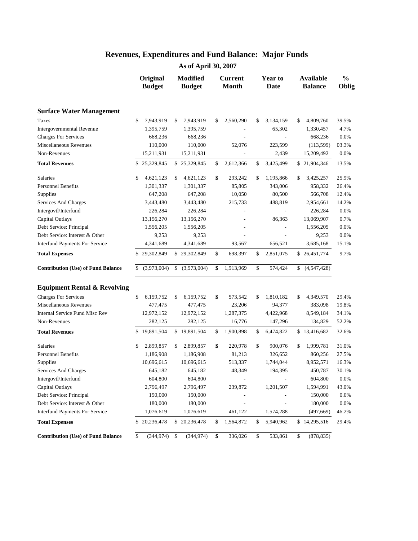| <b>Surface Water Management</b>           | \$                |     |              |                 |                 |                   |       |
|-------------------------------------------|-------------------|-----|--------------|-----------------|-----------------|-------------------|-------|
|                                           |                   |     |              |                 |                 |                   |       |
| Taxes                                     | 7,943,919         | \$  | 7,943,919    | \$<br>2,560,290 | \$<br>3,134,159 | \$<br>4,809,760   | 39.5% |
| Intergovernmental Revenue                 | 1,395,759         |     | 1,395,759    |                 | 65,302          | 1,330,457         | 4.7%  |
| <b>Charges For Services</b>               | 668,236           |     | 668,236      |                 |                 | 668,236           | 0.0%  |
| Miscellaneous Revenues                    | 110,000           |     | 110,000      | 52,076          | 223,599         | (113, 599)        | 03.3% |
| Non-Revenues                              | 15,211,931        |     | 15,211,931   |                 | 2,439           | 15,209,492        | 0.0%  |
| <b>Total Revenues</b>                     | \$<br>25,329,845  |     | \$25,329,845 | \$<br>2,612,366 | \$<br>3,425,499 | \$21,904,346      | 13.5% |
| Salaries                                  | \$<br>4,621,123   | \$  | 4,621,123    | \$<br>293,242   | \$<br>1,195,866 | \$<br>3,425,257   | 25.9% |
| <b>Personnel Benefits</b>                 | 1,301,337         |     | 1,301,337    | 85,805          | 343,006         | 958,332           | 26.4% |
| Supplies                                  | 647,208           |     | 647,208      | 10,050          | 80,500          | 566,708           | 12.4% |
| Services And Charges                      | 3,443,480         |     | 3,443,480    | 215,733         | 488,819         | 2,954,661         | 14.2% |
| Intergovtl/Interfund                      | 226,284           |     | 226,284      |                 |                 | 226,284           | 0.0%  |
| Capital Outlays                           | 13,156,270        |     | 13,156,270   |                 | 86,363          | 13,069,907        | 0.7%  |
| Debt Service: Principal                   | 1,556,205         |     | 1,556,205    |                 |                 | 1,556,205         | 0.0%  |
| Debt Service: Interest & Other            | 9,253             |     | 9,253        |                 |                 | 9,253             | 0.0%  |
| Interfund Payments For Service            | 4,341,689         |     | 4,341,689    | 93,567          | 656,521         | 3,685,168         | 15.1% |
| <b>Total Expenses</b>                     | \$<br>29,302,849  |     | \$29,302,849 | \$<br>698,397   | \$<br>2,851,075 | \$26,451,774      | 9.7%  |
| <b>Contribution (Use) of Fund Balance</b> | \$<br>(3,973,004) | \$  | (3,973,004)  | \$<br>1,913,969 | \$<br>574,424   | \$<br>(4,547,428) |       |
| <b>Equipment Rental &amp; Revolving</b>   |                   |     |              |                 |                 |                   |       |
| <b>Charges For Services</b>               | \$<br>6,159,752   | \$  | 6,159,752    | \$<br>573,542   | \$<br>1,810,182 | \$<br>4,349,570   | 29.4% |
| Miscellaneous Revenues                    | 477,475           |     | 477,475      | 23,206          | 94,377          | 383,098           | 19.8% |
| <b>Internal Service Fund Misc Rev</b>     | 12,972,152        |     | 12,972,152   | 1,287,375       | 4,422,968       | 8,549,184         | 34.1% |
| Non-Revenues                              | 282,125           |     | 282,125      | 16,776          | 147,296         | 134,829           | 52.2% |
| <b>Total Revenues</b>                     | \$<br>19,891,504  |     | \$19,891,504 | \$<br>1,900,898 | \$<br>6,474,822 | \$13,416,682      | 32.6% |
| Salaries                                  | \$<br>2,899,857   | \$  | 2,899,857    | \$<br>220,978   | \$<br>900,076   | \$<br>1,999,781   | 31.0% |
| Personnel Benefits                        | 1,186,908         |     | 1,186,908    | 81,213          | 326,652         | 860,256           | 27.5% |
| Supplies                                  | 10,696,615        |     | 10,696,615   | 513,337         | 1,744,044       | 8,952,571         | 16.3% |
| Services And Charges                      | 645,182           |     | 645,182      | 48,349          | 194,395         | 450,787           | 30.1% |
| Intergovtl/Interfund                      | 604,800           |     | 604,800      |                 |                 | 604,800           | 0.0%  |
| Capital Outlays                           | 2,796,497         |     | 2,796,497    | 239,872         | 1,201,507       | 1,594,991         | 43.0% |
| Debt Service: Principal                   | 150,000           |     | 150,000      |                 |                 | 150,000           | 0.0%  |
| Debt Service: Interest & Other            | 180,000           |     | 180,000      |                 |                 | 180,000           | 0.0%  |
| <b>Interfund Payments For Service</b>     | 1,076,619         |     | 1,076,619    | 461,122         | 1,574,288       | (497, 669)        | 46.2% |
| <b>Total Expenses</b>                     | \$<br>20,236,478  |     | \$20,236,478 | \$<br>1,564,872 | \$<br>5,940,962 | \$14,295,516      | 29.4% |
| <b>Contribution (Use) of Fund Balance</b> | \$<br>(344, 974)  | -\$ | (344, 974)   | \$<br>336,026   | \$<br>533,861   | \$<br>(878, 835)  |       |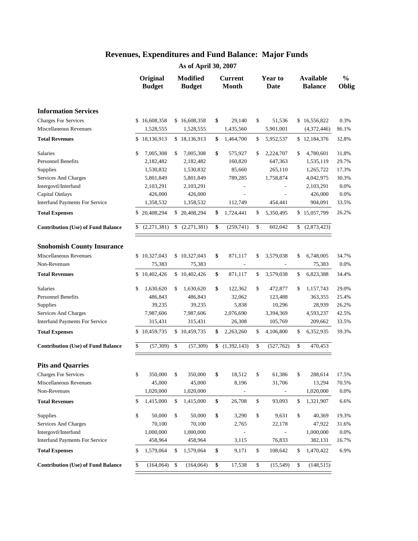|                                           | Original<br><b>Budget</b> | <b>Modified</b><br><b>Budget</b> |                    | <b>Current</b><br><b>Month</b> | Year to<br>Date          | <b>Available</b><br><b>Balance</b> | $\frac{0}{0}$<br>Oblig |
|-------------------------------------------|---------------------------|----------------------------------|--------------------|--------------------------------|--------------------------|------------------------------------|------------------------|
| <b>Information Services</b>               |                           |                                  |                    |                                |                          |                                    |                        |
| <b>Charges For Services</b>               | \$16,608,358              | \$16,608,358                     | \$                 | 29,140                         | \$<br>51,536             | \$16,556,822                       | 0.3%                   |
| Miscellaneous Revenues                    | 1,528,555                 | 1,528,555                        |                    | 1,435,560                      | 5,901,001                | (4,372,446)                        | 86.1%                  |
| <b>Total Revenues</b>                     | \$18,136,913              | \$18,136,913                     | \$                 | 1,464,700                      | \$<br>5,952,537          | \$12,184,376                       | 32.8%                  |
| Salaries                                  | \$<br>7,005,308           | \$<br>7,005,308                  | \$                 | 575,927                        | \$<br>2,224,707          | \$<br>4,780,601                    | 31.8%                  |
| <b>Personnel Benefits</b>                 | 2,182,482                 | 2,182,482                        |                    | 160,820                        | 647,363                  | 1,535,119                          | 29.7%                  |
| Supplies                                  | 1,530,832                 | 1,530,832                        |                    | 85,660                         | 265,110                  | 1,265,722                          | 17.3%                  |
| Services And Charges                      | 5,801,849                 | 5,801,849                        |                    | 789,285                        | 1,758,874                | 4,042,975                          | 30.3%                  |
| Intergovtl/Interfund                      | 2,103,291                 | 2,103,291                        |                    |                                |                          | 2,103,291                          | 0.0%                   |
| Capital Outlays                           | 426,000                   | 426,000                          |                    |                                |                          | 426,000                            | 0.0%                   |
| <b>Interfund Payments For Service</b>     | 1,358,532                 | 1,358,532                        |                    | 112,749                        | 454,441                  | 904,091                            | 33.5%                  |
| <b>Total Expenses</b>                     | \$20,408,294              | \$20,408,294                     | \$                 | 1,724,441                      | \$<br>5,350,495          | \$15,057,799                       | 26.2%                  |
| <b>Contribution (Use) of Fund Balance</b> | \$<br>(2,271,381)         | \$<br>(2,271,381)                | \$                 | (259,741)                      | \$<br>602,042            | \$<br>(2,873,423)                  |                        |
| <b>Snohomish County Insurance</b>         |                           |                                  |                    |                                |                          |                                    |                        |
| Miscellaneous Revenues                    | \$<br>10,327,043          | \$10,327,043                     | \$                 | 871,117                        | \$<br>3,579,038          | \$<br>6,748,005                    | 34.7%                  |
| Non-Revenues                              | 75,383                    | 75,383                           |                    | $\blacksquare$                 | $\overline{\phantom{a}}$ | 75,383                             | 0.0%                   |
| <b>Total Revenues</b>                     | \$<br>10,402,426          | \$10,402,426                     | \$                 | 871,117                        | \$<br>3,579,038          | \$<br>6,823,388                    | 34.4%                  |
| <b>Salaries</b>                           | \$<br>1,630,620           | \$<br>1,630,620                  | \$                 | 122,362                        | \$<br>472,877            | \$<br>1,157,743                    | 29.0%                  |
| <b>Personnel Benefits</b>                 | 486,843                   | 486,843                          |                    | 32,062                         | 123,488                  | 363,355                            | 25.4%                  |
| Supplies                                  | 39,235                    | 39,235                           |                    | 5,838                          | 10,296                   | 28,939                             | 26.2%                  |
| Services And Charges                      | 7,987,606                 | 7,987,606                        |                    | 2,076,690                      | 3,394,369                | 4,593,237                          | 42.5%                  |
| Interfund Payments For Service            | 315,431                   | 315,431                          |                    | 26,308                         | 105,769                  | 209,662                            | 33.5%                  |
| <b>Total Expenses</b>                     | \$10,459,735              | \$10,459,735                     | \$                 | 2,263,260                      | \$<br>4,106,800          | \$<br>6,352,935                    | 39.3%                  |
| <b>Contribution (Use) of Fund Balance</b> | \$<br>(57, 309)           | \$<br>(57, 309)                  | \$                 | (1,392,143)                    | \$<br>(527,762)          | \$<br>470,453                      |                        |
| <b>Pits and Quarries</b>                  |                           |                                  |                    |                                |                          |                                    |                        |
| <b>Charges For Services</b>               | \$<br>350,000             | \$<br>350,000                    | \$                 | 18,512                         | \$<br>61,386             | \$<br>288,614                      | 17.5%                  |
| Miscellaneous Revenues                    | 45,000                    | 45,000                           |                    | 8,196                          | 31,706                   | 13,294                             | 70.5%                  |
| Non-Revenues                              | 1,020,000                 | 1,020,000                        |                    |                                |                          | 1,020,000                          | 0.0%                   |
| <b>Total Revenues</b>                     | \$<br>1,415,000           | \$<br>1,415,000                  | $\pmb{\mathbb{S}}$ | 26,708                         | \$<br>93,093             | \$<br>1,321,907                    | 6.6%                   |
| Supplies                                  | \$<br>50,000              | \$<br>50,000                     | \$                 | 3,290                          | \$<br>9,631              | \$<br>40,369                       | 19.3%                  |
| Services And Charges                      | 70,100                    | 70,100                           |                    | 2,765                          | 22,178                   | 47,922                             | 31.6%                  |
| Intergovtl/Interfund                      | 1,000,000                 | 1,000,000                        |                    |                                |                          | 1,000,000                          | 0.0%                   |
| <b>Interfund Payments For Service</b>     | 458,964                   | 458,964                          |                    | 3,115                          | 76,833                   | 382,131                            | 16.7%                  |
| <b>Total Expenses</b>                     | \$<br>1,579,064           | \$<br>1,579,064                  | \$                 | 9,171                          | \$<br>108,642            | \$<br>1,470,422                    | 6.9%                   |
| <b>Contribution (Use) of Fund Balance</b> | \$<br>(164, 064)          | \$<br>(164, 064)                 | \$                 | 17,538                         | \$<br>(15, 549)          | \$<br>(148, 515)                   |                        |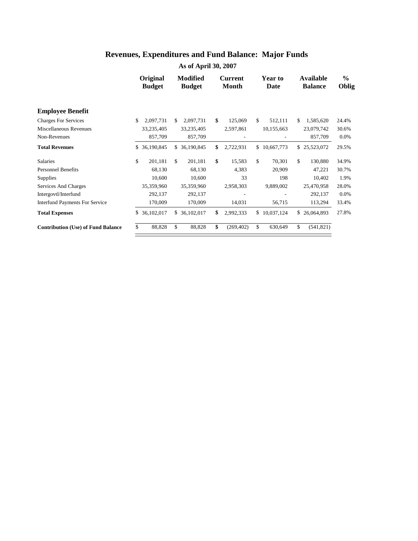|                                           | Original<br><b>Budget</b> |    | <b>Modified</b><br><b>Budget</b> | Current<br><b>Month</b> | <b>Year to</b><br>Date | <b>Available</b><br><b>Balance</b> | $\frac{0}{0}$<br>Oblig |
|-------------------------------------------|---------------------------|----|----------------------------------|-------------------------|------------------------|------------------------------------|------------------------|
| <b>Employee Benefit</b>                   |                           |    |                                  |                         |                        |                                    |                        |
| <b>Charges For Services</b>               | \$<br>2,097,731           | \$ | 2,097,731                        | \$<br>125,069           | \$<br>512,111          | \$<br>1,585,620                    | 24.4%                  |
| Miscellaneous Revenues                    | 33,235,405                |    | 33,235,405                       | 2,597,861               | 10,155,663             | 23,079,742                         | 30.6%                  |
| Non-Revenues                              | 857,709                   |    | 857,709                          |                         |                        | 857,709                            | 0.0%                   |
| <b>Total Revenues</b>                     | \$<br>36,190,845          | S. | 36,190,845                       | \$<br>2,722,931         | \$10,667,773           | \$<br>25,523,072                   | 29.5%                  |
| Salaries                                  | \$<br>201,181             | \$ | 201,181                          | \$<br>15,583            | \$<br>70,301           | \$<br>130,880                      | 34.9%                  |
| <b>Personnel Benefits</b>                 | 68,130                    |    | 68,130                           | 4,383                   | 20,909                 | 47,221                             | 30.7%                  |
| <b>Supplies</b>                           | 10,600                    |    | 10,600                           | 33                      | 198                    | 10,402                             | 1.9%                   |
| Services And Charges                      | 35,359,960                |    | 35,359,960                       | 2,958,303               | 9,889,002              | 25,470,958                         | 28.0%                  |
| Intergovtl/Interfund                      | 292,137                   |    | 292,137                          |                         |                        | 292,137                            | $0.0\%$                |
| <b>Interfund Payments For Service</b>     | 170,009                   |    | 170,009                          | 14,031                  | 56,715                 | 113,294                            | 33.4%                  |
| <b>Total Expenses</b>                     | \$<br>36,102,017          | \$ | 36,102,017                       | \$<br>2,992,333         | \$10,037,124           | \$<br>26,064,893                   | 27.8%                  |
| <b>Contribution (Use) of Fund Balance</b> | \$<br>88,828              | \$ | 88,828                           | \$<br>(269, 402)        | \$<br>630,649          | \$<br>(541, 821)                   |                        |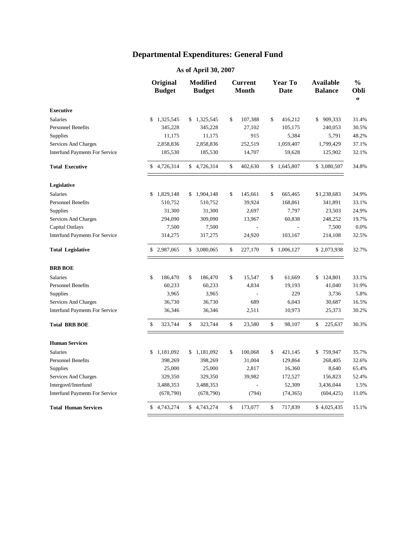|                                       | Original<br><b>Budget</b> | <b>Modified</b><br><b>Budget</b> | <b>Current</b><br><b>Month</b> |              | <b>Year To</b><br><b>Date</b> | <b>Available</b><br><b>Balance</b> | $\frac{0}{0}$<br><b>Obli</b><br>$\sigma$ |
|---------------------------------------|---------------------------|----------------------------------|--------------------------------|--------------|-------------------------------|------------------------------------|------------------------------------------|
| <b>Executive</b>                      |                           |                                  |                                |              |                               |                                    |                                          |
| <b>Salaries</b>                       | \$<br>1,325,545           | \$1,325,545                      | \$<br>107,388                  | \$           | 416,212                       | \$<br>909,333                      | 31.4%                                    |
| <b>Personnel Benefits</b>             | 345,228                   | 345,228                          | 27,102                         |              | 105,175                       | 240,053                            | 30.5%                                    |
| <b>Supplies</b>                       | 11,175                    | 11,175                           | 915                            |              | 5,384                         | 5,791                              | 48.2%                                    |
| <b>Services And Charges</b>           | 2,858,836                 | 2,858,836                        | 252,519                        |              | 1,059,407                     | 1,799,429                          | 37.1%                                    |
| <b>Interfund Payments For Service</b> | 185,530                   | 185,530                          | 14,707                         |              | 59,628                        | 125,902                            | 32.1%                                    |
| <b>Total Executive</b>                | \$4,726,314               | \$4,726,314                      | \$<br>402,630                  |              | \$1,645,807                   | \$3,080,507                        | 34.8%                                    |
| Legislative                           |                           |                                  |                                |              |                               |                                    |                                          |
| <b>Salaries</b>                       | \$<br>1,829,148           | \$1,904,148                      | \$<br>145,661                  | \$           | 665,465                       | \$1,238,683                        | 34.9%                                    |
| <b>Personnel Benefits</b>             | 510,752                   | 510,752                          | 39,924                         |              | 168,861                       | 341,891                            | 33.1%                                    |
| Supplies                              | 31,300                    | 31,300                           | 2,697                          |              | 7,797                         | 23,503                             | 24.9%                                    |
| <b>Services And Charges</b>           | 294,090                   | 309,090                          | 13,967                         |              | 60,838                        | 248,252                            | 19.7%                                    |
| Capital Outlays                       | 7,500                     | 7,500                            |                                |              |                               | 7,500                              | 0.0%                                     |
| <b>Interfund Payments For Service</b> | 314,275                   | 317,275                          | 24,920                         |              | 103,167                       | 214,108                            | 32.5%                                    |
| <b>Total Legislative</b>              | \$2,987,065               | \$ 3,080,065                     | \$<br>227,170                  | \$           | 1,006,127                     | \$2,073,938                        | 32.7%                                    |
| <b>BRB BOE</b>                        |                           |                                  |                                |              |                               |                                    |                                          |
| <b>Salaries</b>                       | \$<br>186,470             | \$<br>186,470                    | \$<br>15,547                   | \$           | 61,669                        | \$124,801                          | 33.1%                                    |
| <b>Personnel Benefits</b>             | 60,233                    | 60,233                           | 4,834                          |              | 19,193                        | 41,040                             | 31.9%                                    |
| <b>Supplies</b>                       | 3,965                     | 3,965                            |                                |              | 229                           | 3,736                              | 5.8%                                     |
| Services And Charges                  | 36,730                    | 36,730                           | 689                            |              | 6,043                         | 30,687                             | 16.5%                                    |
| <b>Interfund Payments For Service</b> | 36,346                    | 36,346                           | 2,511                          |              | 10,973                        | 25,373                             | 30.2%                                    |
| <b>Total BRB BOE</b>                  | \$<br>323,744             | \$<br>323,744                    | \$<br>23,580                   | $\mathbb{S}$ | 98,107                        | \$<br>225,637                      | 30.3%                                    |
| <b>Human Services</b>                 |                           |                                  |                                |              |                               |                                    |                                          |
| <b>Salaries</b>                       | \$<br>1,181,092           | \$<br>1,181,092                  | \$<br>100,068                  | \$           | 421,145                       | \$<br>759,947                      | 35.7%                                    |
| <b>Personnel Benefits</b>             | 398,269                   | 398,269                          | 31,004                         |              | 129,864                       | 268,405                            | 32.6%                                    |
| <b>Supplies</b>                       | 25,000                    | 25,000                           | 2,817                          |              | 16,360                        | 8,640                              | 65.4%                                    |
| Services And Charges                  | 329,350                   | 329,350                          | 39,982                         |              | 172,527                       | 156,823                            | 52.4%                                    |
| Intergovtl/Interfund                  | 3,488,353                 | 3,488,353                        | L.                             |              | 52,309                        | 3,436,044                          | 1.5%                                     |
| <b>Interfund Payments For Service</b> | (678,790)                 | (678,790)                        | (794)                          |              | (74, 365)                     | (604, 425)                         | 11.0%                                    |
| <b>Total Human Services</b>           | \$<br>4,743,274           | \$4,743,274                      | \$<br>173,077                  | \$           | 717,839                       | \$4,025,435                        | 15.1%                                    |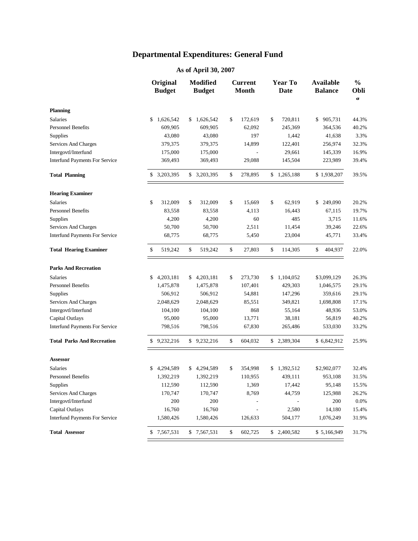|                                       | Original<br><b>Budget</b> | <b>Modified</b><br><b>Budget</b> | <b>Current</b><br><b>Month</b> | <b>Year To</b><br><b>Date</b> | <b>Available</b><br><b>Balance</b> | $\frac{0}{0}$<br>Obli<br>$\sigma$ |
|---------------------------------------|---------------------------|----------------------------------|--------------------------------|-------------------------------|------------------------------------|-----------------------------------|
| <b>Planning</b>                       |                           |                                  |                                |                               |                                    |                                   |
| Salaries                              | \$<br>1,626,542           | \$1,626,542                      | \$<br>172,619                  | \$<br>720,811                 | \$<br>905,731                      | 44.3%                             |
| <b>Personnel Benefits</b>             | 609,905                   | 609,905                          | 62,092                         | 245,369                       | 364,536                            | 40.2%                             |
| Supplies                              | 43,080                    | 43,080                           | 197                            | 1,442                         | 41,638                             | 3.3%                              |
| Services And Charges                  | 379,375                   | 379,375                          | 14,899                         | 122,401                       | 256,974                            | 32.3%                             |
| Intergovtl/Interfund                  | 175,000                   | 175,000                          |                                | 29,661                        | 145,339                            | 16.9%                             |
| <b>Interfund Payments For Service</b> | 369,493                   | 369,493                          | 29,088                         | 145,504                       | 223,989                            | 39.4%                             |
| <b>Total Planning</b>                 | \$ 3,203,395              | \$ 3,203,395                     | \$<br>278,895                  | \$1,265,188                   | \$1,938,207                        | 39.5%                             |
| <b>Hearing Examiner</b>               |                           |                                  |                                |                               |                                    |                                   |
| <b>Salaries</b>                       | \$<br>312,009             | \$<br>312,009                    | \$<br>15,669                   | \$<br>62,919                  | 249,090<br>\$                      | 20.2%                             |
| <b>Personnel Benefits</b>             | 83,558                    | 83,558                           | 4,113                          | 16,443                        | 67,115                             | 19.7%                             |
| Supplies                              | 4,200                     | 4,200                            | 60                             | 485                           | 3,715                              | 11.6%                             |
| Services And Charges                  | 50,700                    | 50,700                           | 2,511                          | 11,454                        | 39,246                             | 22.6%                             |
| <b>Interfund Payments For Service</b> | 68,775                    | 68,775                           | 5,450                          | 23,004                        | 45,771                             | 33.4%                             |
| <b>Total Hearing Examiner</b>         | \$<br>519,242             | \$<br>519,242                    | \$<br>27,803                   | \$<br>114,305                 | \$<br>404,937                      | 22.0%                             |
| <b>Parks And Recreation</b>           |                           |                                  |                                |                               |                                    |                                   |
| <b>Salaries</b>                       | \$<br>4,203,181           | \$<br>4,203,181                  | \$<br>273,730                  | \$<br>1,104,052               | \$3,099,129                        | 26.3%                             |
| <b>Personnel Benefits</b>             | 1,475,878                 | 1,475,878                        | 107,401                        | 429,303                       | 1,046,575                          | 29.1%                             |
| <b>Supplies</b>                       | 506,912                   | 506,912                          | 54,881                         | 147,296                       | 359,616                            | 29.1%                             |
| Services And Charges                  | 2,048,629                 | 2,048,629                        | 85,551                         | 349,821                       | 1,698,808                          | 17.1%                             |
| Intergovtl/Interfund                  | 104,100                   | 104,100                          | 868                            | 55,164                        | 48,936                             | 53.0%                             |
| Capital Outlays                       | 95,000                    | 95,000                           | 13,771                         | 38,181                        | 56,819                             | 40.2%                             |
| <b>Interfund Payments For Service</b> | 798,516                   | 798,516                          | 67,830                         | 265,486                       | 533,030                            | 33.2%                             |
| <b>Total Parks And Recreation</b>     | \$9,232,216               | \$9,232,216                      | \$<br>604,032                  | \$ 2,389,304                  | \$6,842,912                        | 25.9%                             |
| Assessor                              |                           |                                  |                                |                               |                                    |                                   |
| <b>Salaries</b>                       | \$<br>4,294,589           | \$4,294,589                      | \$<br>354,998                  | \$1,392,512                   | \$2,902,077                        | 32.4%                             |
| <b>Personnel Benefits</b>             | 1,392,219                 | 1,392,219                        | 110,955                        | 439,111                       | 953,108                            | 31.5%                             |
| Supplies                              | 112,590                   | 112,590                          | 1,369                          | 17,442                        | 95,148                             | 15.5%                             |
| Services And Charges                  | 170,747                   | 170,747                          | 8,769                          | 44,759                        | 125,988                            | 26.2%                             |
| Intergovtl/Interfund                  | 200                       | 200                              |                                |                               | 200                                | 0.0%                              |
| Capital Outlays                       | 16,760                    | 16,760                           |                                | 2,580                         | 14,180                             | 15.4%                             |
| <b>Interfund Payments For Service</b> | 1,580,426                 | 1,580,426                        | 126,633                        | 504,177                       | 1,076,249                          | 31.9%                             |
| <b>Total Assessor</b>                 | \$7,567,531               | \$7,567,531                      | \$<br>602,725                  | \$2,400,582                   | \$5,166,949                        | 31.7%                             |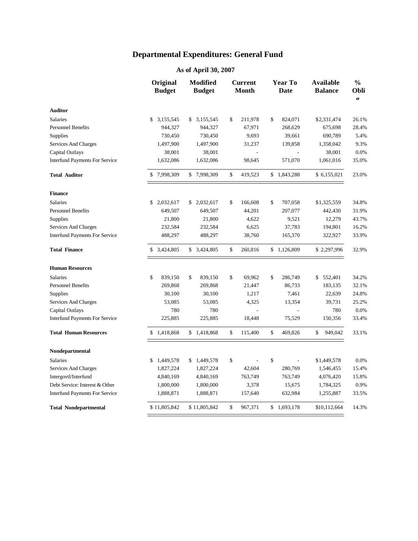|                                       | Original<br><b>Budget</b> |           | <b>Modified</b><br><b>Budget</b> | <b>Current</b><br><b>Month</b> |      | <b>Year To</b><br>Date   | <b>Available</b><br><b>Balance</b> | $\frac{0}{0}$<br><b>Obli</b><br>$\sigma$ |
|---------------------------------------|---------------------------|-----------|----------------------------------|--------------------------------|------|--------------------------|------------------------------------|------------------------------------------|
| <b>Auditor</b>                        |                           |           |                                  |                                |      |                          |                                    |                                          |
| <b>Salaries</b>                       | \$                        | 3,155,545 | \$3,155,545                      | \$<br>211,978                  | \$   | 824,071                  | \$2,331,474                        | 26.1%                                    |
| <b>Personnel Benefits</b>             |                           | 944,327   | 944,327                          | 67,971                         |      | 268,629                  | 675,698                            | 28.4%                                    |
| <b>Supplies</b>                       |                           | 730,450   | 730,450                          | 9,693                          |      | 39,661                   | 690,789                            | 5.4%                                     |
| Services And Charges                  |                           | 1,497,900 | 1,497,900                        | 31,237                         |      | 139,858                  | 1,358,042                          | 9.3%                                     |
| Capital Outlays                       |                           | 38,001    | 38,001                           | $\overline{\phantom{a}}$       |      | $\blacksquare$           | 38,001                             | 0.0%                                     |
| <b>Interfund Payments For Service</b> |                           | 1,632,086 | 1,632,086                        | 98,645                         |      | 571,070                  | 1,061,016                          | 35.0%                                    |
| <b>Total Auditor</b>                  | \$7,998,309               |           | \$7,998,309                      | \$<br>419,523                  |      | \$1,843,288              | \$6,155,021                        | 23.0%                                    |
| <b>Finance</b>                        |                           |           |                                  |                                |      |                          |                                    |                                          |
| <b>Salaries</b>                       | \$                        | 2,032,617 | \$<br>2,032,617                  | \$<br>166,608                  | \$   | 707,058                  | \$1,325,559                        | 34.8%                                    |
| <b>Personnel Benefits</b>             |                           | 649,507   | 649,507                          | 44,201                         |      | 207,077                  | 442,430                            | 31.9%                                    |
| Supplies                              |                           | 21,800    | 21,800                           | 4,622                          |      | 9,521                    | 12,279                             | 43.7%                                    |
| Services And Charges                  |                           | 232,584   | 232,584                          | 6,625                          |      | 37,783                   | 194,801                            | 16.2%                                    |
| <b>Interfund Payments For Service</b> |                           | 488,297   | 488,297                          | 38,760                         |      | 165,370                  | 322,927                            | 33.9%                                    |
| <b>Total Finance</b>                  | \$3,424,805               |           | \$ 3,424,805                     | \$<br>260,816                  |      | \$1,126,809              | \$2,297,996                        | 32.9%                                    |
| <b>Human Resources</b>                |                           |           |                                  |                                |      |                          |                                    |                                          |
| <b>Salaries</b>                       | \$                        | 839,150   | \$<br>839,150                    | \$<br>69,962                   | \$   | 286,749                  | \$552,401                          | 34.2%                                    |
| <b>Personnel Benefits</b>             |                           | 269,868   | 269,868                          | 21,447                         |      | 86,733                   | 183,135                            | 32.1%                                    |
| Supplies                              |                           | 30,100    | 30,100                           | 1,217                          |      | 7,461                    | 22,639                             | 24.8%                                    |
| Services And Charges                  |                           | 53,085    | 53,085                           | 4,325                          |      | 13,354                   | 39,731                             | 25.2%                                    |
| Capital Outlays                       |                           | 780       | 780                              |                                |      |                          | 780                                | 0.0%                                     |
| <b>Interfund Payments For Service</b> |                           | 225,885   | 225,885                          | 18,448                         |      | 75,529                   | 150,356                            | 33.4%                                    |
| <b>Total Human Resources</b>          | \$1,418,868               |           | \$1,418,868                      | \$<br>115,400                  | $\$$ | 469,826                  | \$<br>949,042                      | 33.1%                                    |
| Nondepartmental                       |                           |           |                                  |                                |      |                          |                                    |                                          |
| <b>Salaries</b>                       | \$1,449,578               |           | \$1,449,578                      | \$                             | \$   | $\overline{\phantom{a}}$ | \$1,449,578                        | 0.0%                                     |
| Services And Charges                  |                           | 1,827,224 | 1,827,224                        | 42,604                         |      | 280,769                  | 1,546,455                          | 15.4%                                    |
| Intergovtl/Interfund                  |                           | 4,840,169 | 4,840,169                        | 763,749                        |      | 763,749                  | 4,076,420                          | 15.8%                                    |
| Debt Service: Interest & Other        |                           | 1,800,000 | 1,800,000                        | 3,378                          |      | 15,675                   | 1,784,325                          | 0.9%                                     |
| <b>Interfund Payments For Service</b> |                           | 1,888,871 | 1,888,871                        | 157,640                        |      | 632,984                  | 1,255,887                          | 33.5%                                    |
| <b>Total Nondepartmental</b>          | \$11,805,842              |           | \$11,805,842                     | \$<br>967,371                  |      | \$1,693,178              | \$10,112,664                       | 14.3%                                    |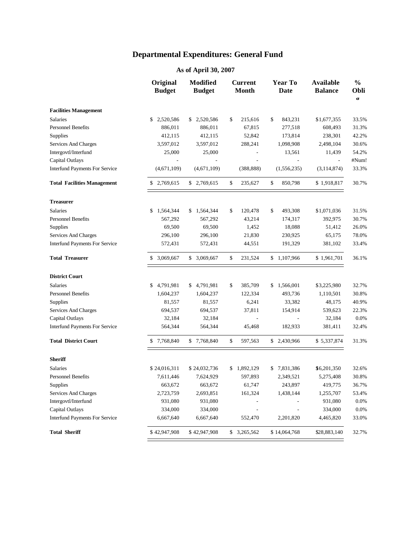|                                       | Original<br><b>Budget</b> | Modified<br><b>Budget</b> | <b>Current</b><br><b>Month</b> | Year To<br><b>Date</b> | <b>Available</b><br><b>Balance</b> | $\frac{0}{0}$<br>Obli<br>$\sigma$ |
|---------------------------------------|---------------------------|---------------------------|--------------------------------|------------------------|------------------------------------|-----------------------------------|
| <b>Facilities Management</b>          |                           |                           |                                |                        |                                    |                                   |
| Salaries                              | \$2,520,586               | \$2,520,586               | \$<br>215,616                  | \$<br>843,231          | \$1,677,355                        | 33.5%                             |
| <b>Personnel Benefits</b>             | 886,011                   | 886,011                   | 67,815                         | 277,518                | 608,493                            | 31.3%                             |
| Supplies                              | 412,115                   | 412,115                   | 52,842                         | 173,814                | 238,301                            | 42.2%                             |
| Services And Charges                  | 3,597,012                 | 3,597,012                 | 288,241                        | 1,098,908              | 2,498,104                          | 30.6%                             |
| Intergovtl/Interfund                  | 25,000                    | 25,000                    |                                | 13,561                 | 11,439                             | 54.2%                             |
| Capital Outlays                       |                           |                           |                                |                        |                                    | #Num!                             |
| <b>Interfund Payments For Service</b> | (4,671,109)               | (4,671,109)               | (388, 888)                     | (1, 556, 235)          | (3, 114, 874)                      | 33.3%                             |
| <b>Total Facilities Management</b>    | \$2,769,615               | \$2,769,615               | \$<br>235,627                  | \$<br>850,798          | \$1,918,817                        | 30.7%                             |
| <b>Treasurer</b>                      |                           |                           |                                |                        |                                    |                                   |
| <b>Salaries</b>                       | 1,564,344<br>\$           | \$1,564,344               | \$<br>120,478                  | \$<br>493,308          | \$1,071,036                        | 31.5%                             |
| <b>Personnel Benefits</b>             | 567,292                   | 567,292                   | 43,214                         | 174,317                | 392,975                            | 30.7%                             |
| Supplies                              | 69,500                    | 69,500                    | 1,452                          | 18,088                 | 51,412                             | 26.0%                             |
| Services And Charges                  | 296,100                   | 296,100                   | 21,830                         | 230,925                | 65,175                             | 78.0%                             |
| <b>Interfund Payments For Service</b> | 572,431                   | 572,431                   | 44,551                         | 191,329                | 381,102                            | 33.4%                             |
| <b>Total Treasurer</b>                | \$3,069,667               | \$3,069,667               | \$<br>231,524                  | \$1,107,966            | \$1,961,701                        | 36.1%                             |
| <b>District Court</b>                 |                           |                           |                                |                        |                                    |                                   |
| <b>Salaries</b>                       | 4,791,981<br>\$           | 4,791,981<br>\$           | \$<br>385,709                  | \$<br>1,566,001        | \$3,225,980                        | 32.7%                             |
| <b>Personnel Benefits</b>             | 1,604,237                 | 1,604,237                 | 122,334                        | 493,736                | 1,110,501                          | 30.8%                             |
| Supplies                              | 81,557                    | 81,557                    | 6,241                          | 33,382                 | 48,175                             | 40.9%                             |
| Services And Charges                  | 694,537                   | 694,537                   | 37,811                         | 154,914                | 539,623                            | 22.3%                             |
| Capital Outlays                       | 32,184                    | 32,184                    | $\overline{a}$                 |                        | 32,184                             | 0.0%                              |
| <b>Interfund Payments For Service</b> | 564,344                   | 564,344                   | 45,468                         | 182,933                | 381,411                            | 32.4%                             |
| <b>Total District Court</b>           | \$7,768,840               | \$7,768,840               | \$<br>597,563                  | \$2,430,966            | \$5,337,874                        | 31.3%                             |
| <b>Sheriff</b>                        |                           |                           |                                |                        |                                    |                                   |
| <b>Salaries</b>                       | \$24,016,311              | \$24,032,736              | \$<br>1,892,129                | \$7,831,386            | \$6,201,350                        | 32.6%                             |
| <b>Personnel Benefits</b>             | 7,611,446                 | 7,624,929                 | 597,893                        | 2,349,521              | 5,275,408                          | 30.8%                             |
| Supplies                              | 663,672                   | 663,672                   | 61,747                         | 243,897                | 419,775                            | 36.7%                             |
| Services And Charges                  | 2,723,759                 | 2,693,851                 | 161,324                        | 1,438,144              | 1,255,707                          | 53.4%                             |
| Intergovtl/Interfund                  | 931,080                   | 931,080                   |                                |                        | 931,080                            | 0.0%                              |
| Capital Outlays                       | 334,000                   | 334,000                   |                                |                        | 334,000                            | 0.0%                              |
| <b>Interfund Payments For Service</b> | 6,667,640                 | 6,667,640                 | 552,470                        | 2,201,820              | 4,465,820                          | 33.0%                             |
| <b>Total Sheriff</b>                  | \$42,947,908              | \$42,947,908              | \$3,265,562                    | \$14,064,768           | \$28,883,140                       | 32.7%                             |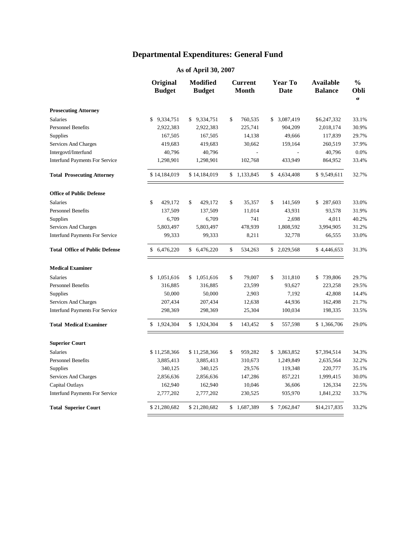|                                       | Original<br><b>Budget</b> | Modified<br><b>Budget</b> | <b>Current</b><br><b>Month</b> |       | <b>Year To</b><br>Date | <b>Available</b><br><b>Balance</b> | $\frac{0}{0}$<br><b>Obli</b><br>$\sigma$ |  |
|---------------------------------------|---------------------------|---------------------------|--------------------------------|-------|------------------------|------------------------------------|------------------------------------------|--|
| <b>Prosecuting Attorney</b>           |                           |                           |                                |       |                        |                                    |                                          |  |
| <b>Salaries</b>                       | \$<br>9,334,751           | \$9,334,751               | \$<br>760,535                  |       | 3,087,419<br>\$        | \$6,247,332                        | 33.1%                                    |  |
| <b>Personnel Benefits</b>             | 2,922,383                 | 2,922,383                 | 225,741                        |       | 904,209                | 2,018,174                          | 30.9%                                    |  |
| Supplies                              | 167,505                   | 167,505                   | 14,138                         |       | 49,666                 | 117,839                            | 29.7%                                    |  |
| <b>Services And Charges</b>           | 419,683                   | 419,683                   | 30,662                         |       | 159,164                | 260,519                            | 37.9%                                    |  |
| Intergovtl/Interfund                  | 40,796                    | 40,796                    |                                |       |                        | 40,796                             | 0.0%                                     |  |
| <b>Interfund Payments For Service</b> | 1,298,901                 | 1,298,901                 | 102,768                        |       | 433,949                | 864,952                            | 33.4%                                    |  |
| <b>Total Prosecuting Attorney</b>     | \$14,184,019              | \$14,184,019              | \$1,133,845                    |       | \$4,634,408            | \$9,549,611                        | 32.7%                                    |  |
| <b>Office of Public Defense</b>       |                           |                           |                                |       |                        |                                    |                                          |  |
| <b>Salaries</b>                       | \$<br>429,172             | \$<br>429,172             | \$<br>35,357                   |       | \$<br>141,569          | \$287,603                          | 33.0%                                    |  |
| <b>Personnel Benefits</b>             | 137,509                   | 137,509                   | 11,014                         |       | 43,931                 | 93,578                             | 31.9%                                    |  |
| Supplies                              | 6,709                     | 6,709                     |                                | 741   | 2,698                  | 4,011                              | 40.2%                                    |  |
| <b>Services And Charges</b>           | 5,803,497                 | 5,803,497                 | 478,939                        |       | 1,808,592              | 3,994,905                          | 31.2%                                    |  |
| <b>Interfund Payments For Service</b> | 99,333                    | 99,333                    |                                | 8,211 | 32,778                 | 66,555                             | 33.0%                                    |  |
| <b>Total Office of Public Defense</b> | 6,476,220<br>\$           | \$6,476,220               | \$<br>534,263                  |       | \$2,029,568            | \$4,446,653                        | 31.3%                                    |  |
| <b>Medical Examiner</b>               |                           |                           |                                |       |                        |                                    |                                          |  |
| Salaries                              | 1,051,616<br>\$           | \$1,051,616               | \$<br>79,007                   |       | \$<br>311,810          | \$739,806                          | 29.7%                                    |  |
| <b>Personnel Benefits</b>             | 316,885                   | 316,885                   | 23,599                         |       | 93,627                 | 223,258                            | 29.5%                                    |  |
| Supplies                              | 50,000                    | 50,000                    |                                | 2,903 | 7,192                  | 42,808                             | 14.4%                                    |  |
| Services And Charges                  | 207,434                   | 207,434                   | 12,638                         |       | 44,936                 | 162,498                            | 21.7%                                    |  |
| <b>Interfund Payments For Service</b> | 298,369                   | 298,369                   | 25,304                         |       | 100,034                | 198,335                            | 33.5%                                    |  |
| <b>Total Medical Examiner</b>         | 1,924,304<br>\$           | \$1,924,304               | \$<br>143,452                  |       | \$<br>557,598          | \$1,366,706                        | 29.0%                                    |  |
| <b>Superior Court</b>                 |                           |                           |                                |       |                        |                                    |                                          |  |
| <b>Salaries</b>                       | \$11,258,366              | \$11,258,366              | \$<br>959,282                  |       | 3,863,852<br>\$        | \$7,394,514                        | 34.3%                                    |  |
| <b>Personnel Benefits</b>             | 3,885,413                 | 3,885,413                 | 310,673                        |       | 1,249,849              | 2,635,564                          | 32.2%                                    |  |
| Supplies                              | 340,125                   | 340,125                   | 29,576                         |       | 119,348                | 220,777                            | 35.1%                                    |  |
| <b>Services And Charges</b>           | 2,856,636                 | 2,856,636                 | 147,286                        |       | 857,221                | 1,999,415                          | 30.0%                                    |  |
| Capital Outlays                       | 162,940                   | 162,940                   | 10,046                         |       | 36,606                 | 126,334                            | 22.5%                                    |  |
| <b>Interfund Payments For Service</b> | 2,777,202                 | 2,777,202                 | 230,525                        |       | 935,970                | 1,841,232                          | 33.7%                                    |  |
| <b>Total Superior Court</b>           | \$21,280,682              | \$21,280,682              | \$1,687,389                    |       | \$7,062,847            | \$14,217,835                       | 33.2%                                    |  |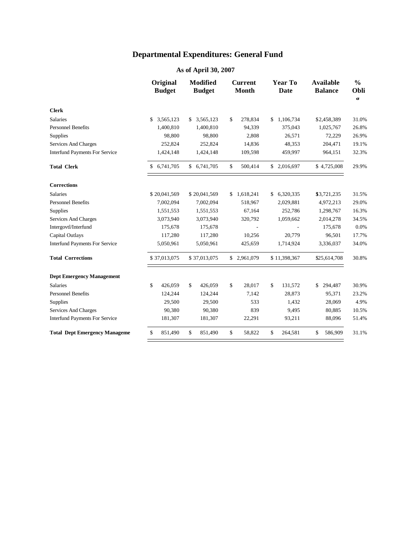|                                       | Original<br><b>Budget</b> |              | <b>Modified</b><br><b>Budget</b> |              |         | <b>Current</b><br><b>Month</b> |           | <b>Year To</b><br><b>Date</b> | <b>Available</b><br><b>Balance</b> |              | $\frac{0}{0}$<br>Obli<br>Œ |  |
|---------------------------------------|---------------------------|--------------|----------------------------------|--------------|---------|--------------------------------|-----------|-------------------------------|------------------------------------|--------------|----------------------------|--|
| <b>Clerk</b>                          |                           |              |                                  |              |         |                                |           |                               |                                    |              |                            |  |
| <b>Salaries</b>                       | \$                        | 3,565,123    | S.                               | 3,565,123    | \$      | 278,834                        | S.        | 1.106.734                     |                                    | \$2,458,389  | 31.0%                      |  |
| <b>Personnel Benefits</b>             |                           | 1,400,810    |                                  | 1,400,810    |         | 94,339                         |           | 375,043                       |                                    | 1,025,767    | 26.8%                      |  |
| <b>Supplies</b>                       |                           | 98,800       |                                  | 98,800       |         | 2,808                          |           | 26,571                        |                                    | 72,229       | 26.9%                      |  |
| Services And Charges                  |                           | 252,824      |                                  | 252,824      |         | 14,836                         |           | 48,353                        |                                    | 204,471      | 19.1%                      |  |
| <b>Interfund Payments For Service</b> |                           | 1,424,148    |                                  | 1,424,148    |         | 109,598                        |           | 459,997                       |                                    | 964,151      | 32.3%                      |  |
| <b>Total Clerk</b>                    |                           | \$6,741,705  |                                  | \$6,741,705  | \$      | 500,414                        |           | \$ 2,016,697                  |                                    | \$4,725,008  | 29.9%                      |  |
| <b>Corrections</b>                    |                           |              |                                  |              |         |                                |           |                               |                                    |              |                            |  |
| <b>Salaries</b>                       |                           | \$20,041,569 |                                  | \$20,041,569 | \$      | 1,618,241                      | \$        | 6,320,335                     |                                    | \$3,721,235  | 31.5%                      |  |
| <b>Personnel Benefits</b>             |                           | 7,002,094    |                                  | 7,002,094    |         | 518,967                        |           | 2,029,881                     |                                    | 4,972,213    | 29.0%                      |  |
| Supplies                              |                           | 1,551,553    |                                  | 1,551,553    |         | 67,164                         |           | 252,786                       |                                    | 1,298,767    | 16.3%                      |  |
| Services And Charges                  |                           | 3,073,940    |                                  | 3,073,940    |         | 320,792                        |           | 1,059,662                     |                                    | 2,014,278    | 34.5%                      |  |
| Intergovtl/Interfund                  |                           | 175,678      |                                  | 175,678      |         |                                |           |                               |                                    | 175,678      | 0.0%                       |  |
| Capital Outlays                       |                           | 117,280      |                                  | 117,280      |         | 10,256                         |           | 20,779                        |                                    | 96,501       | 17.7%                      |  |
| <b>Interfund Payments For Service</b> | 5,050,961                 |              | 5,050,961                        |              | 425,659 |                                | 1,714,924 |                               |                                    | 3,336,037    | 34.0%                      |  |
| <b>Total Corrections</b>              |                           | \$37,013,075 |                                  | \$37,013,075 |         | \$2,961,079                    |           | \$11,398,367                  |                                    | \$25,614,708 | 30.8%                      |  |
| <b>Dept Emergency Management</b>      |                           |              |                                  |              |         |                                |           |                               |                                    |              |                            |  |
| <b>Salaries</b>                       | \$                        | 426,059      | \$                               | 426,059      | \$      | 28,017                         | \$        | 131,572                       | $\mathbb{S}$                       | 294,487      | 30.9%                      |  |
| <b>Personnel Benefits</b>             |                           | 124,244      |                                  | 124,244      |         | 7,142                          |           | 28,873                        |                                    | 95,371       | 23.2%                      |  |
| Supplies                              |                           | 29,500       |                                  | 29,500       |         | 533                            |           | 1,432                         |                                    | 28,069       | 4.9%                       |  |
| Services And Charges                  |                           | 90,380       |                                  | 90,380       |         | 839                            |           | 9,495                         |                                    | 80,885       | 10.5%                      |  |
| <b>Interfund Payments For Service</b> |                           | 181,307      |                                  | 181,307      |         | 22,291                         |           | 93,211                        |                                    | 88,096       | 51.4%                      |  |
| <b>Total Dept Emergency Manageme</b>  | \$                        | 851,490      | \$                               | 851,490      | \$      | 58,822                         | \$        | 264,581                       | \$                                 | 586,909      | 31.1%                      |  |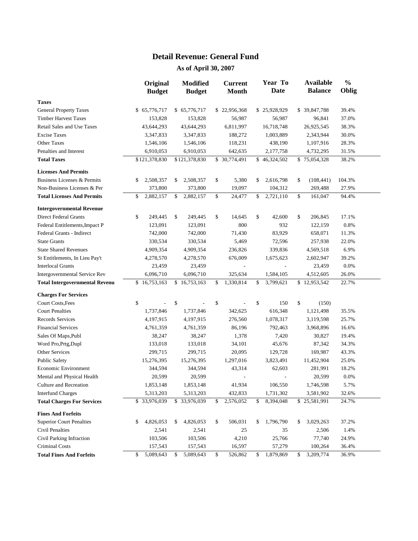#### **Detail Revenue: General Fund**

|                                       | Original<br><b>Budget</b> | <b>Modified</b><br><b>Budget</b> | <b>Current</b><br><b>Month</b> | Year To<br>Date | <b>Available</b><br><b>Balance</b> | $\frac{0}{0}$<br>Oblig |
|---------------------------------------|---------------------------|----------------------------------|--------------------------------|-----------------|------------------------------------|------------------------|
| <b>Taxes</b>                          |                           |                                  |                                |                 |                                    |                        |
| <b>General Property Taxes</b>         | 65,776,717<br>\$          | \$65,776,717                     | \$22,956,368                   | \$25,928,929    | \$39,847,788                       | 39.4%                  |
| <b>Timber Harvest Taxes</b>           | 153,828                   | 153,828                          | 56,987                         | 56,987          | 96,841                             | 37.0%                  |
| Retail Sales and Use Taxes            | 43,644,293                | 43,644,293                       | 6,811,997                      | 16,718,748      | 26,925,545                         | 38.3%                  |
| <b>Excise Taxes</b>                   | 3,347,833                 | 3,347,833                        | 188,272                        | 1,003,889       | 2,343,944                          | 30.0%                  |
| <b>Other Taxes</b>                    | 1,546,106                 | 1,546,106                        | 118,231                        | 438,190         | 1,107,916                          | 28.3%                  |
| Penalties and Interest                | 6,910,053                 | 6,910,053                        | 642,635                        | 2,177,758       | 4,732,295                          | 31.5%                  |
| <b>Total Taxes</b>                    | \$121,378,830             | \$121,378,830                    | \$ 30,774,491                  | \$46,324,502    | \$75,054,328                       | 38.2%                  |
| <b>Licenses And Permits</b>           |                           |                                  |                                |                 |                                    |                        |
| Business Licenses & Permits           | 2,508,357<br>\$           | 2,508,357<br>\$                  | \$<br>5,380                    | 2,616,798<br>\$ | \$<br>(108, 441)                   | 104.3%                 |
| Non-Business Licenses & Per           | 373,800                   | 373,800                          | 19,097                         | 104,312         | 269,488                            | 27.9%                  |
| <b>Total Licenses And Permits</b>     | \$<br>2,882,157           | \$<br>2,882,157                  | \$<br>24,477                   | \$<br>2,721,110 | \$<br>161,047                      | 94.4%                  |
| <b>Intergovernmental Revenue</b>      |                           |                                  |                                |                 |                                    |                        |
| <b>Direct Federal Grants</b>          | \$<br>249,445             | \$<br>249,445                    | \$<br>14,645                   | \$<br>42,600    | \$<br>206,845                      | 17.1%                  |
| Federal Entitlements, Impact P        | 123,091                   | 123,091                          | 800                            | 932             | 122,159                            | 0.8%                   |
| Federal Grants - Indirect             | 742,000                   | 742,000                          | 71,430                         | 83,929          | 658,071                            | 11.3%                  |
| <b>State Grants</b>                   | 330,534                   | 330,534                          | 5,469                          | 72,596          | 257,938                            | 22.0%                  |
| <b>State Shared Revenues</b>          | 4,909,354                 | 4,909,354                        | 236,826                        | 339,836         | 4,569,518                          | 6.9%                   |
| St Entitlements, In Lieu Pay't        | 4,278,570                 | 4,278,570                        | 676,009                        | 1,675,623       | 2,602,947                          | 39.2%                  |
| <b>Interlocal Grants</b>              | 23,459                    | 23,459                           | $\overline{a}$                 |                 | 23,459                             | 0.0%                   |
| Intergovernmental Service Rev         | 6,096,710                 | 6,096,710                        | 325,634                        | 1,584,105       | 4,512,605                          | 26.0%                  |
| <b>Total Intergovernmental Revenu</b> | \$16,753,163              | 16,753,163<br>\$                 | \$<br>1,330,814                | \$<br>3,799,621 | \$12,953,542                       | 22.7%                  |
| <b>Charges For Services</b>           |                           |                                  |                                |                 |                                    |                        |
| Court Costs, Fees                     | \$                        | \$                               | \$                             | \$<br>150       | \$<br>(150)                        |                        |
| <b>Court Penalties</b>                | 1,737,846                 | 1,737,846                        | 342,625                        | 616,348         | 1,121,498                          | 35.5%                  |
| <b>Records Services</b>               | 4,197,915                 | 4,197,915                        | 276,560                        | 1,078,317       | 3,119,598                          | 25.7%                  |
| <b>Financial Services</b>             | 4,761,359                 | 4,761,359                        | 86,196                         | 792,463         | 3,968,896                          | 16.6%                  |
| Sales Of Maps, Publ                   | 38,247                    | 38,247                           | 1,378                          | 7,420           | 30,827                             | 19.4%                  |
| Word Pro, Prtg, Dupl                  | 133,018                   | 133,018                          | 34,101                         | 45,676          | 87,342                             | 34.3%                  |
| Other Services                        | 299,715                   | 299,715                          | 20,095                         | 129,728         | 169,987                            | 43.3%                  |
| <b>Public Safety</b>                  | 15,276,395                | 15,276,395                       | 1,297,016                      | 3,823,491       | 11,452,904                         | 25.0%                  |
| Economic Environment                  | 344,594                   | 344,594                          | 43,314                         | 62,603          | 281,991                            | 18.2%                  |
| Mental and Physical Health            | 20,599                    | 20,599                           |                                |                 | 20,599                             | 0.0%                   |
| Culture and Recreation                | 1,853,148                 | 1,853,148                        | 41,934                         | 106,550         | 1,746,598                          | 5.7%                   |
| <b>Interfund Charges</b>              | 5,313,203                 | 5,313,203                        | 432,833                        | 1,731,302       | 3,581,902                          | 32.6%                  |
| <b>Total Charges For Services</b>     | \$33,976,039              | \$33,976,039                     | 2,576,052<br>\$                | 8,394,048<br>\$ | \$25,581,991                       | 24.7%                  |
| <b>Fines And Forfeits</b>             |                           |                                  |                                |                 |                                    |                        |
| <b>Superior Court Penalties</b>       | 4,826,053<br>\$           | 4,826,053<br>\$                  | 506,031<br>\$                  | 1,796,790<br>\$ | 3,029,263<br>\$                    | 37.2%                  |
| <b>Civil Penalties</b>                | 2,541                     | 2,541                            | 25                             | 35              | 2,506                              | 1.4%                   |
| Civil Parking Infraction              | 103,506                   | 103,506                          | 4,210                          | 25,766          | 77,740                             | 24.9%                  |
| <b>Criminal Costs</b>                 | 157,543                   | 157,543                          | 16,597                         | 57,279          | 100,264                            | 36.4%                  |
| <b>Total Fines And Forfeits</b>       | 5,089,643<br>\$           | 5,089,643<br>\$                  | \$<br>526,862                  | \$<br>1,879,869 | 3,209,774<br>\$                    | 36.9%                  |